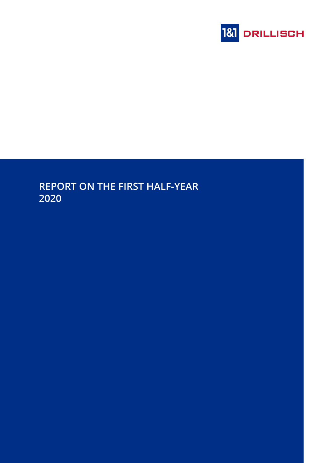

# **REPORT ON THE FIRST HALF-YEAR 2020**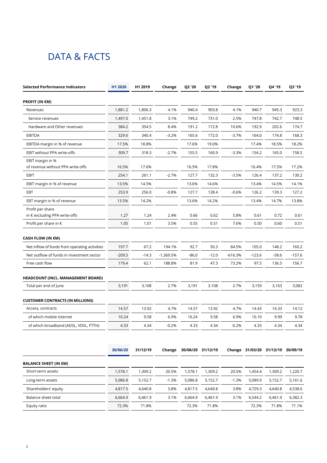# <span id="page-1-0"></span>DATA & FACTS

| <b>Selected Performance Indicators</b>            | H1 2020  | H1 2019  | Change    | Q2 '20  | Q2 '19            | Change    | Q1 '20   | Q4 '19                            | Q3 '19  |
|---------------------------------------------------|----------|----------|-----------|---------|-------------------|-----------|----------|-----------------------------------|---------|
| <b>PROFIT (IN €M)</b>                             |          |          |           |         |                   |           |          |                                   |         |
| Revenues                                          | 1,881.2  | 1,806.3  | 4.1%      | 940.4   | 903.8             | 4.1%      | 940.7    | 945.3                             | 923.3   |
| Service revenues                                  | 1,497.0  | 1,451.8  | 3.1%      | 749.2   | 731.0             | 2.5%      | 747.8    | 742.7                             | 748.5   |
| Hardware and Other revenues                       | 384.2    | 354.5    | 8.4%      | 191.2   | 172.8             | 10.6%     | 192.9    | 202.6                             | 174.7   |
| <b>EBITDA</b>                                     | 329.6    | 340.4    | $-3.2%$   | 165.6   | 172.0             | $-3.7%$   | 164.0    | 174.8                             | 168.3   |
| EBITDA margin in % of revenue                     | 17.5%    | 18.8%    |           | 17.6%   | 19.0%             |           | 17.4%    | 18.5%                             | 18.2%   |
| EBIT without PPA write-offs                       | 309.7    | 318.3    | $-2.7%$   | 155.5   | 160.9             | $-3.3%$   | 154.2    | 165.0                             | 158.5   |
| EBIT margin in %                                  |          |          |           |         |                   |           |          |                                   |         |
| of revenue without PPA write-offs                 | 16.5%    | 17.6%    |           | 16.5%   | 17.8%             |           | 16.4%    | 17.5%                             | 17.2%   |
| <b>EBIT</b>                                       | 254.1    | 261.1    | $-2.7%$   | 127.7   | 132.3             | $-3.5%$   | 126.4    | 137.2                             | 130.2   |
| EBIT margin in % of revenue                       | 13.5%    | 14.5%    |           | 13.6%   | 14.6%             |           | 13.4%    | 14.5%                             | 14.1%   |
| EBT                                               | 253.9    | 256.0    | $-0.8%$   | 127.7   | 128.4             | $-0.6%$   | 126.2    | 139.3                             | 127.2   |
| EBT margin in % of revenue                        | 13.5%    | 14.2%    |           | 13.6%   | 14.2%             |           | 13.4%    | 14.7%                             | 13.8%   |
| Profit per share<br>in € excluding PPA write-offs | 1.27     | 1.24     | 2.4%      | 0.66    | 0.62              | 5.8%      | 0.61     | 0.72                              | 0.61    |
| Profit per share in $\epsilon$                    | 1.05     | 1.01     | 3.5%      | 0.55    | 0.51              | 7.6%      | 0.50     | 0.60                              | 0.51    |
| CASH FLOW (IN €M)                                 |          |          |           |         |                   |           |          |                                   |         |
| Net inflow of funds from operating activities     | 197.7    | 67.2     | 194.1%    | 92.7    | 50.3              | 84.5%     | 105.0    | 148.2                             | 160.2   |
| Net outflow of funds in investment sector         | $-209.5$ | $-14.3$  | -1,369.5% | $-86.0$ | $-12.0$           | $-616.3%$ | $-123.6$ | $-58.6$                           | -157.6  |
| Free cash flow                                    | 179.4    | 62.1     | 188.8%    | 81.9    | 47.3              | 73.2%     | 97.5     | 136.5                             | 156.7   |
| HEADCOUNT (INCL. MANAGEMENT BOARD)                |          |          |           |         |                   |           |          |                                   |         |
| Total per end of June                             | 3,191    | 3,108    | 2.7%      | 3,191   | 3.108             | 2.7%      | 3,159    | 3,163                             | 3,082   |
| <b>CUSTOMER CONTRACTS (IN MILLIONS)</b>           |          |          |           |         |                   |           |          |                                   |         |
| Access, contracts                                 | 14.57    | 13.92    | 4.7%      | 14.57   | 13.92             | 4.7%      | 14.43    | 14.33                             | 14.12   |
| of which mobile internet                          | 10.24    | 9.58     | 6.9%      | 10.24   | 9.58              | 6.9%      | 10.10    | 9.99                              | 9.78    |
| of which broadband (ADSL, VDSL, FTTH)             | 4.33     | 4.34     | $-0.2%$   | 4.33    | 4.34              | $-0.2%$   | 4.33     | 4.34                              | 4.34    |
|                                                   |          |          |           |         |                   |           |          |                                   |         |
|                                                   | 30/06/20 | 31/12/19 | Change    |         | 30/06/20 31/12/19 |           |          | Change 31/03/20 31/12/19 30/09/19 |         |
| <b>BALANCE SHEET (IN €M)</b>                      |          |          |           |         |                   |           |          |                                   |         |
| Short-term assets                                 | 1,578.1  | 1,309.2  | 20.5%     | 1,578.1 | 1,309.2           | 20.5%     | 1,454.4  | 1,309.2                           | 1,220.7 |
| Long-term assets                                  | 5,086.8  | 5,152.7  | $-1.3%$   | 5,086.8 | 5,152.7           | $-1.3%$   | 5,089.9  | 5,152.7                           | 5,161.6 |
| Shareholders' equity                              | 4,817.5  | 4,640.8  | 3.8%      | 4,817.5 | 4,640.8           | 3.8%      | 4,729.3  | 4,640.8                           | 4,538.6 |
| Balance sheet total                               | 6,664.9  | 6,461.9  | 3.1%      | 6,664.9 | 6,461.9           | 3.1%      | 6,544.2  | 6,461.9                           | 6,382.3 |
| Equity ratio                                      | 72.3%    | 71.8%    |           | 72.3%   | 71.8%             |           | 72.3%    | 71.8%                             | 71.1%   |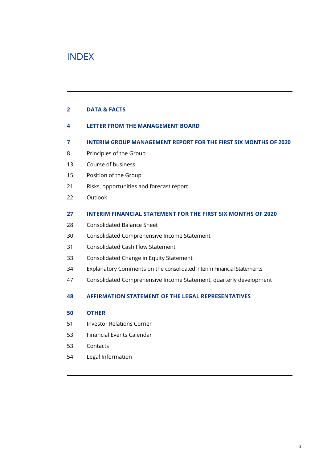## INDEX

#### **[DATA & FACTS](#page-1-0)**

- **[LETTER FROM THE MANAGEMENT BOARD](#page-3-0)**
- **[INTERIM GROUP MANAGEMENT REPORT FOR THE FIRST SIX MONTHS OF 2020](#page-6-0)**
- [Principles of the Group](#page-7-0)
- [Course of business](#page-12-0)
- [Position of the Group](#page-14-0)
- [Risks, opportunities and forecast report](#page-20-0)
- [Outlook](#page-21-0)

#### **[INTERIM FINANCIAL STATEMENT FOR THE FIRST SIX MONTHS OF 2020](#page-26-0)**

- [Consolidated Balance Sheet](#page-27-0)
- [Consolidated Comprehensive Income Statement](#page-29-0)
- [Consolidated Cash Flow Statement](#page-30-0)
- [Consolidated Change in Equity Statement](#page-32-0)
- [Explanatory Comments on the consolidated Interim Financial Statements](#page-33-0)
- [Consolidated Comprehensive Income Statement, quarterly development](#page-46-0)

#### **[AFFIRMATION STATEMENT OF THE LEGAL REPRESENTATIVES](#page-47-0)**

#### **[OTHER](#page-49-0)**

- [Investor Relations Corner](#page-50-0)
- [Financial Events Calendar](#page-52-0)
- [Contacts](#page-52-0)
- [Legal Information](#page-53-0)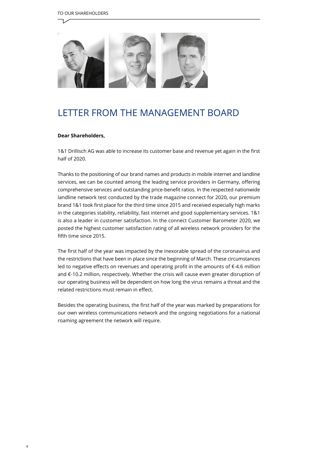<span id="page-3-0"></span>

## LETTER FROM THE MANAGEMENT BOARD

#### **Dear Shareholders,**

1&1 Drillisch AG was able to increase its customer base and revenue yet again in the first half of 2020.

Thanks to the positioning of our brand names and products in mobile internet and landline services, we can be counted among the leading service providers in Germany, offering comprehensive services and outstanding price-benefit ratios. In the respected nationwide landline network test conducted by the trade magazine connect for 2020, our premium brand 1&1 took first place for the third time since 2015 and received especially high marks in the categories stability, reliability, fast internet and good supplementary services. 1&1 is also a leader in customer satisfaction. In the connect Customer Barometer 2020, we posted the highest customer satisfaction rating of all wireless network providers for the fifth time since 2015.

The first half of the year was impacted by the inexorable spread of the coronavirus and the restrictions that have been in place since the beginning of March. These circumstances led to negative effects on revenues and operating profit in the amounts of  $\epsilon$ -4.6 million and €-10.2 million, respectively. Whether the crisis will cause even greater disruption of our operating business will be dependent on how long the virus remains a threat and the related restrictions must remain in effect.

Besides the operating business, the first half of the year was marked by preparations for our own wireless communications network and the ongoing negotiations for a national roaming agreement the network will require.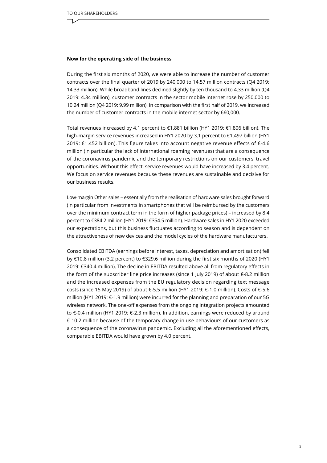#### **Now for the operating side of the business**

During the first six months of 2020, we were able to increase the number of customer contracts over the final quarter of 2019 by 240,000 to 14.57 million contracts (Q4 2019: 14.33 million). While broadband lines declined slightly by ten thousand to 4.33 million (Q4 2019: 4.34 million), customer contracts in the sector mobile internet rose by 250,000 to 10.24 million (Q4 2019: 9.99 million). In comparison with the first half of 2019, we increased the number of customer contracts in the mobile internet sector by 660,000.

Total revenues increased by 4.1 percent to €1.881 billion (HY1 2019: €1.806 billion). The high-margin service revenues increased in HY1 2020 by 3.1 percent to €1.497 billion (HY1 2019: €1.452 billion). This figure takes into account negative revenue effects of €-4.6 million (in particular the lack of international roaming revenues) that are a consequence of the coronavirus pandemic and the temporary restrictions on our customers' travel opportunities. Without this effect, service revenues would have increased by 3.4 percent. We focus on service revenues because these revenues are sustainable and decisive for our business results.

Low-margin Other sales – essentially from the realisation of hardware sales brought forward (in particular from investments in smartphones that will be reimbursed by the customers over the minimum contract term in the form of higher package prices) – increased by 8.4 percent to €384.2 million (HY1 2019: €354.5 million). Hardware sales in HY1 2020 exceeded our expectations, but this business fluctuates according to season and is dependent on the attractiveness of new devices and the model cycles of the hardware manufacturers.

Consolidated EBITDA (earnings before interest, taxes, depreciation and amortisation) fell by €10.8 million (3.2 percent) to €329.6 million during the first six months of 2020 (HY1 2019: €340.4 million). The decline in EBITDA resulted above all from regulatory effects in the form of the subscriber line price increases (since 1 July 2019) of about €-8.2 million and the increased expenses from the EU regulatory decision regarding text message costs (since 15 May 2019) of about €-5.5 million (HY1 2019: €-1.0 million). Costs of €-5.6 million (HY1 2019: €-1.9 million) were incurred for the planning and preparation of our 5G wireless network. The one-off expenses from the ongoing integration projects amounted to €-0.4 million (HY1 2019: €-2.3 million). In addition, earnings were reduced by around €-10.2 million because of the temporary change in use behaviours of our customers as a consequence of the coronavirus pandemic. Excluding all the aforementioned effects, comparable EBITDA would have grown by 4.0 percent.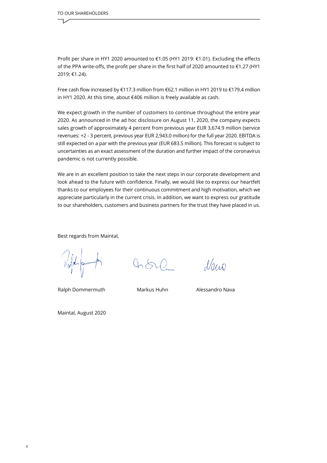Profit per share in HY1 2020 amounted to €1.05 (HY1 2019: €1.01). Excluding the effects of the PPA write-offs, the profit per share in the first half of 2020 amounted to €1.27 (HY1 2019: €1.24).

Free cash flow increased by €117.3 million from €62.1 million in HY1 2019 to €179.4 million in HY1 2020. At this time, about €406 million is freely available as cash.

We expect growth in the number of customers to continue throughout the entire year 2020. As announced in the ad hoc disclosure on August 11, 2020, the company expects sales growth of approximately 4 percent from previous year EUR 3,674.9 million (service revenues: +2 - 3 percent, previous year EUR 2,943.0 million) for the full year 2020. EBITDA is still expected on a par with the previous year (EUR 683.5 million). This forecast is subject to uncertainties as an exact assessment of the duration and further impact of the coronavirus pandemic is not currently possible.

We are in an excellent position to take the next steps in our corporate development and look ahead to the future with confidence. Finally, we would like to express our heartfelt thanks to our employees for their continuous commitment and high motivation, which we appreciate particularly in the current crisis. In addition, we want to express our gratitude to our shareholders, customers and business partners for the trust they have placed in us.

Best regards from Maintal,

Ralph Dommermuth Markus Huhn Alessandro Nava

 $0.500$ 

Naw

Maintal, August 2020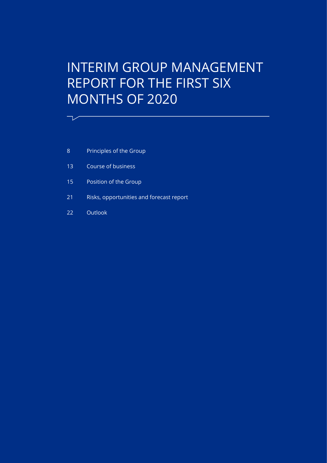# <span id="page-6-0"></span>INTERIM GROUP MANAGEMENT REPORT FOR THE FIRST SIX MONTHS OF 2020

- 8 [Principles of the Group](#page-7-0)
- 13 [Course of business](#page-12-0)
- 15 [Position of the Group](#page-14-0)
- 21 [Risks, opportunities and forecast report](#page-20-0)
- 22 [Outlook](#page-21-0)

 $\overline{\phantom{a}}$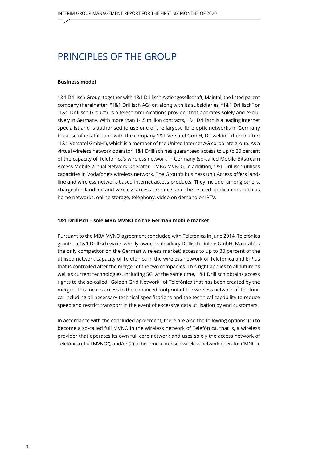### <span id="page-7-0"></span>PRINCIPLES OF THE GROUP

#### **Business model**

1&1 Drillisch Group, together with 1&1 Drillisch Aktiengesellschaft, Maintal, the listed parent company (hereinafter: "1&1 Drillisch AG" or, along with its subsidiaries, "1&1 Drillisch" or "1&1 Drillisch Group"), is a telecommunications provider that operates solely and exclusively in Germany. With more than 14.5 million contracts, 1&1 Drillisch is a leading internet specialist and is authorised to use one of the largest fibre optic networks in Germany because of its affiliation with the company 1&1 Versatel GmbH, Düsseldorf (hereinafter: "1&1 Versatel GmbH"), which is a member of the United Internet AG corporate group. As a virtual wireless network operator, 1&1 Drillisch has guaranteed access to up to 30 percent of the capacity of Telefónica's wireless network in Germany (so-called Mobile Bitstream Access Mobile Virtual Network Operator = MBA MVNO). In addition, 1&1 Drillisch utilises capacities in Vodafone's wireless network. The Group's business unit Access offers landline and wireless network-based internet access products. They include, among others, chargeable landline and wireless access products and the related applications such as home networks, online storage, telephony, video on demand or IPTV.

#### **1&1 Drillisch – sole MBA MVNO on the German mobile market**

Pursuant to the MBA MVNO agreement concluded with Telefónica in June 2014, Telefónica grants to 1&1 Drillisch via its wholly-owned subsidiary Drillisch Online GmbH, Maintal (as the only competitor on the German wireless market) access to up to 30 percent of the utilised network capacity of Telefónica in the wireless network of Telefónica and E-Plus that is controlled after the merger of the two companies. This right applies to all future as well as current technologies, including 5G. At the same time, 1&1 Drillisch obtains access rights to the so-called "Golden Grid Network" of Telefónica that has been created by the merger. This means access to the enhanced footprint of the wireless network of Telefónica, including all necessary technical specifications and the technical capability to reduce speed and restrict transport in the event of excessive data utilisation by end customers.

In accordance with the concluded agreement, there are also the following options: (1) to become a so-called full MVNO in the wireless network of Telefónica, that is, a wireless provider that operates its own full core network and uses solely the access network of Telefónica ("Full MVNO"), and/or (2) to become a licensed wireless network operator ("MNO").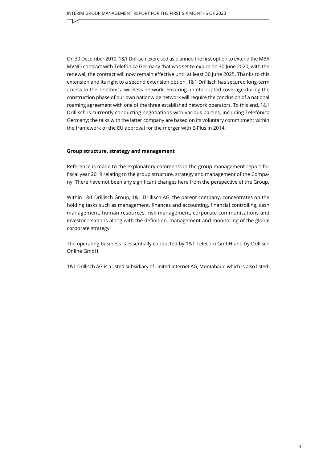On 30 December 2019, 1&1 Drillisch exercised as planned the first option to extend the MBA MVNO contract with Telefónica Germany that was set to expire on 30 June 2020; with the renewal, the contract will now remain effective until at least 30 June 2025. Thanks to this extension and its right to a second extension option, 1&1 Drillisch has secured long-term access to the Telefónica wireless network. Ensuring uninterrupted coverage during the construction phase of our own nationwide network will require the conclusion of a national roaming agreement with one of the three established network operators. To this end, 1&1 Drillisch is currently conducting negotiations with various parties, including Telefónica Germany; the talks with the latter company are based on its voluntary commitment within the framework of the EU approval for the merger with E-Plus in 2014.

#### **Group structure, strategy and management**

Reference is made to the explanatory comments in the group management report for fiscal year 2019 relating to the group structure, strategy and management of the Company. There have not been any significant changes here from the perspective of the Group.

Within 1&1 Drillisch Group, 1&1 Drillisch AG, the parent company, concentrates on the holding tasks such as management, finances and accounting, financial controlling, cash management, human resources, risk management, corporate communications and investor relations along with the definition, management and monitoring of the global corporate strategy.

The operating business is essentially conducted by 1&1 Telecom GmbH and by Drillisch Online GmbH.

1&1 Drillisch AG is a listed subsidiary of United Internet AG, Montabaur, which is also listed.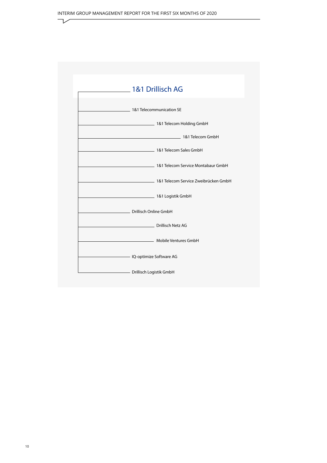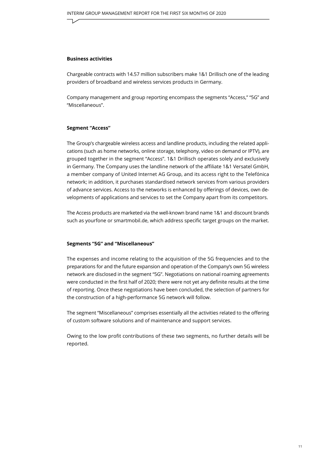#### **Business activities**

Chargeable contracts with 14.57 million subscribers make 1&1 Drillisch one of the leading providers of broadband and wireless services products in Germany.

Company management and group reporting encompass the segments "Access," "5G" and "Miscellaneous".

#### **Segment "Access"**

The Group's chargeable wireless access and landline products, including the related applications (such as home networks, online storage, telephony, video on demand or IPTV), are grouped together in the segment "Access". 1&1 Drillisch operates solely and exclusively in Germany. The Company uses the landline network of the affiliate 1&1 Versatel GmbH, a member company of United Internet AG Group, and its access right to the Telefónica network; in addition, it purchases standardised network services from various providers of advance services. Access to the networks is enhanced by offerings of devices, own developments of applications and services to set the Company apart from its competitors.

The Access products are marketed via the well-known brand name 1&1 and discount brands such as yourfone or smartmobil.de, which address specific target groups on the market.

#### **Segments "5G" and "Miscellaneous"**

The expenses and income relating to the acquisition of the 5G frequencies and to the preparations for and the future expansion and operation of the Company's own 5G wireless network are disclosed in the segment "5G". Negotiations on national roaming agreements were conducted in the first half of 2020; there were not yet any definite results at the time of reporting. Once these negotiations have been concluded, the selection of partners for the construction of a high-performance 5G network will follow.

The segment "Miscellaneous" comprises essentially all the activities related to the offering of custom software solutions and of maintenance and support services.

Owing to the low profit contributions of these two segments, no further details will be reported.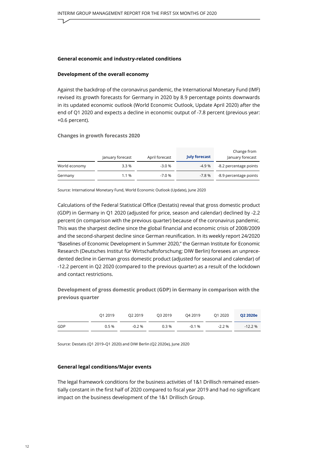#### **General economic and industry-related conditions**

#### **Development of the overall economy**

Against the backdrop of the coronavirus pandemic, the International Monetary Fund (IMF) revised its growth forecasts for Germany in 2020 by 8.9 percentage points downwards in its updated economic outlook (World Economic Outlook, Update April 2020) after the end of Q1 2020 and expects a decline in economic output of -7.8 percent (previous year: +0.6 percent).

#### **Changes in growth forecasts 2020**

|               | January forecast | April forecast | <b>July forecast</b> | Change from<br>January forecast |
|---------------|------------------|----------------|----------------------|---------------------------------|
| World economy | 3.3%             | $-3.0%$        | $-4.9%$              | -8.2 percentage points          |
| Germany       | 1.1 %            | $-7.0%$        | -7.8 %               | -8.9 percentage points          |

Source: International Monetary Fund, World Economic Outlook (Update), June 2020

Calculations of the Federal Statistical Office (Destatis) reveal that gross domestic product (GDP) in Germany in Q1 2020 (adjusted for price, season and calendar) declined by -2.2 percent (in comparison with the previous quarter) because of the coronavirus pandemic. This was the sharpest decline since the global financial and economic crisis of 2008/2009 and the second-sharpest decline since German reunification. In its weekly report 24/2020 "Baselines of Economic Development in Summer 2020," the German Institute for Economic Research (Deutsches Institut für Wirtschaftsforschung; DIW Berlin) foresees an unprecedented decline in German gross domestic product (adjusted for seasonal and calendar) of -12.2 percent in Q2 2020 (compared to the previous quarter) as a result of the lockdown and contact restrictions.

**Development of gross domestic product (GDP) in Germany in comparison with the previous quarter**

|     | 01 2019  | O2 2019  | Q3 2019 | Q4 2019   | Q1 2020   | O2 2020e  |
|-----|----------|----------|---------|-----------|-----------|-----------|
| GDP | $0.5 \%$ | $-0.2\%$ | $0.3\%$ | $-0.1 \%$ | $-2.2 \%$ | $-12.2\%$ |

Source: Destatis (Q1 2019–Q1 2020) and DIW Berlin (Q2 2020e), June 2020

#### **General legal conditions/Major events**

The legal framework conditions for the business activities of 1&1 Drillisch remained essentially constant in the first half of 2020 compared to fiscal year 2019 and had no significant impact on the business development of the 1&1 Drillisch Group.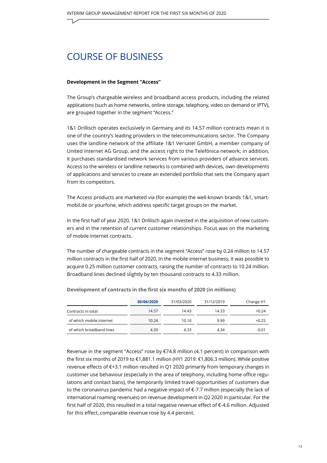### <span id="page-12-0"></span>COURSE OF BUSINESS

#### **Development in the Segment "Access"**

The Group's chargeable wireless and broadband access products, including the related applications (such as home networks, online storage, telephony, video on demand or IPTV), are grouped together in the segment "Access."

1&1 Drillisch operates exclusively in Germany and its 14.57 million contracts mean it is one of the country's leading providers in the telecommunications sector. The Company uses the landline network of the affiliate 1&1 Versatel GmbH, a member company of United Internet AG Group, and the access right to the Telefónica network; in addition, it purchases standardised network services from various providers of advance services. Access to the wireless or landline networks is combined with devices, own developments of applications and services to create an extended portfolio that sets the Company apart from its competitors.

The Access products are marketed via (for example) the well-known brands 1&1, smartmobil.de or yourfone, which address specific target groups on the market.

In the first half of year 2020, 1&1 Drillisch again invested in the acquisition of new customers and in the retention of current customer relationships. Focus was on the marketing of mobile internet contracts.

The number of chargeable contracts in the segment "Access" rose by 0.24 million to 14.57 million contracts in the first half of 2020. In the mobile internet business, it was possible to acquire 0.25 million customer contracts, raising the number of contracts to 10.24 million. Broadband lines declined slightly by ten thousand contracts to 4.33 million.

|                          | 30/06/2020 | 31/03/2020 | 31/12/2019 | Change H1 |
|--------------------------|------------|------------|------------|-----------|
| Contracts in total       | 14.57      | 14.43      | 14.33      | $+0.24$   |
| of which mobile internet | 10.24      | 10.10      | 9.99       | $+0.25$   |
| of which broadband lines | 4.33       | 4.33       | 4.34       | $-0.01$   |

**Development of contracts in the first six months of 2020 (in millions)**

Revenue in the segment "Access" rose by €74.8 million (4.1 percent) in comparison with the first six months of 2019 to €1,881.1 million (HY1 2019: €1,806.3 million). While positive revenue effects of €+3.1 million resulted in Q1 2020 primarily from temporary changes in customer use behaviour (especially in the area of telephony, including home office regulations and contact bans), the temporarily limited travel opportunities of customers due to the coronavirus pandemic had a negative impact of  $\epsilon$ -7.7 million (especially the lack of international roaming revenues) on revenue development in Q2 2020 in particular. For the first half of 2020, this resulted in a total negative revenue effect of €-4.6 million. Adjusted for this effect, comparable revenue rose by 4.4 percent.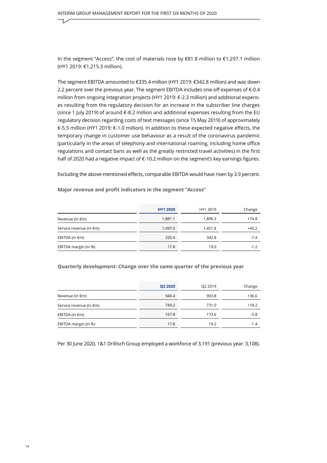In the segment "Access", the cost of materials rose by €81.8 million to €1,297.1 million (HY1 2019: €1,215.3 million).

The segment EBITDA amounted to €335.4 million (HY1 2019: €342.8 million) and was down 2.2 percent over the previous year. The segment EBITDA includes one-off expenses of  $\epsilon$ -0.4 million from ongoing integration projects (HY1 2019: €-2.3 million) and additional expenses resulting from the regulatory decision for an increase in the subscriber line charges (since 1 July 2019) of around  $\epsilon$ -8.2 million and additional expenses resulting from the EU regulatory decision regarding costs of text messages (since 15 May 2019) of approximately €-5.5 million (HY1 2019: €-1.0 million). In addition to these expected negative effects, the temporary change in customer use behaviour as a result of the coronavirus pandemic (particularly in the areas of telephony and international roaming, including home office regulations and contact bans as well as the greatly restricted travel activities) in the first half of 2020 had a negative impact of €-10.2 million on the segment's key earnings figures.

Excluding the above-mentioned effects, comparable EBITDA would have risen by 3.9 percent.

**Major revenue and profit indicators in the segment "Access"** 

|                           | <b>HY1 2020</b> | HY1 2019 | Change  |
|---------------------------|-----------------|----------|---------|
| Revenue (in $\epsilon$ m) | 1.881.1         | 1.806.3  | $+74.8$ |
| Service revenue (in €m)   | 1.497.0         | 1.451.8  | $+45.2$ |
| EBITDA (in $\epsilon$ m)  | 335.4           | 342.8    | $-7.4$  |
| EBITDA margin (in %)      | 17.8            | 19.0     | $-1.2$  |

#### **Quarterly development: Change over the same quarter of the previous year**

|                           | Q2 2020 | Q2 2019 | Change  |
|---------------------------|---------|---------|---------|
| Revenue (in $\epsilon$ m) | 940.4   | 903.8   | $+36.6$ |
| Service revenue (in €m)   | 749.2   | 731.0   | $+18.2$ |
| EBITDA (in $\epsilon$ m)  | 167.8   | 173.6   | $-5.8$  |
| EBITDA margin (in %)      | 17.8    | 19.2    | $-1.4$  |

Per 30 June 2020, 1&1 Drillisch Group employed a workforce of 3,191 (previous year: 3,108).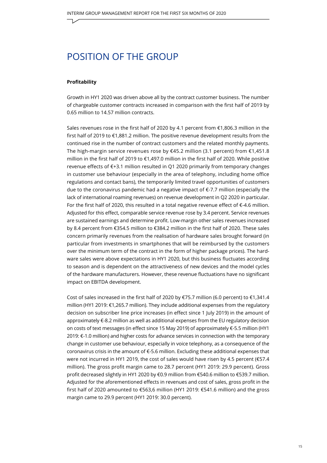### <span id="page-14-0"></span>POSITION OF THE GROUP

#### **Profitability**

Growth in HY1 2020 was driven above all by the contract customer business. The number of chargeable customer contracts increased in comparison with the first half of 2019 by 0.65 million to 14.57 million contracts.

Sales revenues rose in the first half of 2020 by 4.1 percent from €1,806.3 million in the first half of 2019 to €1,881.2 million. The positive revenue development results from the continued rise in the number of contract customers and the related monthly payments. The high-margin service revenues rose by €45.2 million (3.1 percent) from €1,451.8 million in the first half of 2019 to €1,497.0 million in the first half of 2020. While positive revenue effects of €+3.1 million resulted in Q1 2020 primarily from temporary changes in customer use behaviour (especially in the area of telephony, including home office regulations and contact bans), the temporarily limited travel opportunities of customers due to the coronavirus pandemic had a negative impact of €-7.7 million (especially the lack of international roaming revenues) on revenue development in Q2 2020 in particular. For the first half of 2020, this resulted in a total negative revenue effect of  $\epsilon$ -4.6 million. Adjusted for this effect, comparable service revenue rose by 3.4 percent. Service revenues are sustained earnings and determine profit. Low-margin other sales revenues increased by 8.4 percent from €354.5 million to €384.2 million in the first half of 2020. These sales concern primarily revenues from the realisation of hardware sales brought forward (in particular from investments in smartphones that will be reimbursed by the customers over the minimum term of the contract in the form of higher package prices). The hardware sales were above expectations in HY1 2020, but this business fluctuates according to season and is dependent on the attractiveness of new devices and the model cycles of the hardware manufacturers. However, these revenue fluctuations have no significant impact on EBITDA development.

Cost of sales increased in the first half of 2020 by €75.7 million (6.0 percent) to €1,341.4 million (HY1 2019: €1,265.7 million). They include additional expenses from the regulatory decision on subscriber line price increases (in effect since 1 July 2019) in the amount of approximately €-8.2 million as well as additional expenses from the EU regulatory decision on costs of text messages (in effect since 15 May 2019) of approximately €-5.5 million (HY1 2019: €-1.0 million) and higher costs for advance services in connection with the temporary change in customer use behaviour, especially in voice telephony, as a consequence of the coronavirus crisis in the amount of €-5.6 million. Excluding these additional expenses that were not incurred in HY1 2019, the cost of sales would have risen by 4.5 percent (€57.4 million). The gross profit margin came to 28.7 percent (HY1 2019: 29.9 percent). Gross profit decreased slightly in HY1 2020 by €0.9 million from €540.6 million to €539.7 million. Adjusted for the aforementioned effects in revenues and cost of sales, gross profit in the first half of 2020 amounted to €563,6 million (HY1 2019: €541.6 million) and the gross margin came to 29.9 percent (HY1 2019: 30.0 percent).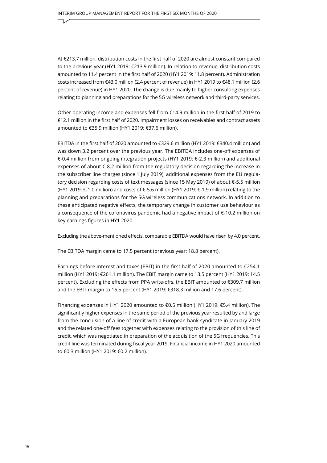At €213.7 million, distribution costs in the first half of 2020 are almost constant compared to the previous year (HY1 2019: €213.9 million). In relation to revenue, distribution costs amounted to 11.4 percent in the first half of 2020 (HY1 2019: 11.8 percent). Administration costs increased from €43.0 million (2.4 percent of revenue) in HY1 2019 to €48.1 million (2.6 percent of revenue) in HY1 2020. The change is due mainly to higher consulting expenses relating to planning and preparations for the 5G wireless network and third-party services.

Other operating income and expenses fell from €14.9 million in the first half of 2019 to €12.1 million in the first half of 2020. Impairment losses on receivables and contract assets amounted to €35.9 million (HY1 2019: €37.6 million).

EBITDA in the first half of 2020 amounted to €329.6 million (HY1 2019: €340.4 million) and was down 3.2 percent over the previous year. The EBITDA includes one-off expenses of €-0.4 million from ongoing integration projects (HY1 2019: €-2.3 million) and additional expenses of about €-8.2 million from the regulatory decision regarding the increase in the subscriber line charges (since 1 July 2019), additional expenses from the EU regulatory decision regarding costs of text messages (since 15 May 2019) of about €-5.5 million (HY1 2019: €-1.0 million) and costs of €-5.6 million (HY1 2019: €-1.9 million) relating to the planning and preparations for the 5G wireless communications network. In addition to these anticipated negative effects, the temporary change in customer use behaviour as a consequence of the coronavirus pandemic had a negative impact of €-10.2 million on key earnings figures in HY1 2020.

Excluding the above-mentioned effects, comparable EBITDA would have risen by 4.0 percent.

The EBITDA margin came to 17.5 percent (previous year: 18.8 percent).

Earnings before interest and taxes (EBIT) in the first half of 2020 amounted to €254.1 million (HY1 2019: €261.1 million). The EBIT margin came to 13.5 percent (HY1 2019: 14.5 percent). Excluding the effects from PPA write-offs, the EBIT amounted to €309.7 million and the EBIT margin to 16.5 percent (HY1 2019: €318.3 million and 17.6 percent).

Financing expenses in HY1 2020 amounted to €0.5 million (HY1 2019: €5.4 million). The significantly higher expenses in the same period of the previous year resulted by and large from the conclusion of a line of credit with a European bank syndicate in January 2019 and the related one-off fees together with expenses relating to the provision of this line of credit, which was negotiated in preparation of the acquisition of the 5G frequencies. This credit line was terminated during fiscal year 2019. Financial income in HY1 2020 amounted to €0.3 million (HY1 2019: €0.2 million).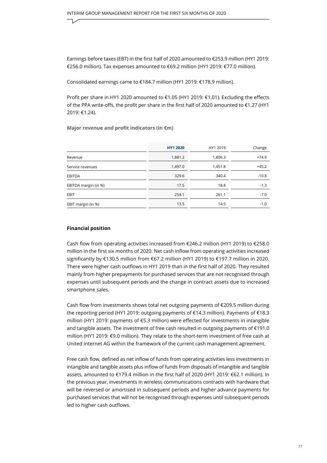Earnings before taxes (EBT) in the first half of 2020 amounted to €253.9 million (HY1 2019: €256.0 million). Tax expenses amounted to €69.2 million (HY1 2019: €77.0 million).

Consolidated earnings came to €184.7 million (HY1 2019: €178.9 million).

Profit per share in HY1 2020 amounted to €1.05 (HY1 2019: €1.01). Excluding the effects of the PPA write-offs, the profit per share in the first half of 2020 amounted to €1.27 (HY1 2019: €1.24).

**Major revenue and profit indicators (in €m)**

|                      | <b>HY1 2020</b> | HY1 2019 | Change  |
|----------------------|-----------------|----------|---------|
| Revenue              | 1,881.2         | 1,806.3  | $+74.9$ |
| Service revenues     | 1,497.0         | 1,451.8  | $+45.2$ |
| <b>EBITDA</b>        | 329.6           | 340.4    | $-10.8$ |
| EBITDA margin (in %) | 17.5            | 18.8     | $-1.3$  |
| <b>EBIT</b>          | 254.1           | 261.1    | $-7.0$  |
| EBIT margin (in %)   | 13.5            | 14.5     | $-1.0$  |

#### **Financial position**

Cash flow from operating activities increased from €246.2 million (HY1 2019) to €258.0 million in the first six months of 2020. Net cash inflow from operating activities increased significantly by €130.5 million from €67.2 million (HY1 2019) to €197.7 million in 2020. There were higher cash outflows in HY1 2019 than in the first half of 2020. They resulted mainly from higher prepayments for purchased services that are not recognised through expenses until subsequent periods and the change in contract assets due to increased smartphone sales.

Cash flow from investments shows total net outgoing payments of €209.5 million during the reporting period (HY1 2019: outgoing payments of €14.3 million). Payments of €18.3 million (HY1 2019: payments of €5.3 million) were effected for investments in intangible and tangible assets. The investment of free cash resulted in outgoing payments of €191.0 million (HY1 2019: €9.0 million). They relate to the short-term investment of free cash at United Internet AG within the framework of the current cash management agreement.

Free cash flow, defined as net inflow of funds from operating activities less investments in intangible and tangible assets plus inflow of funds from disposals of intangible and tangible assets, amounted to €179.4 million in the first half of 2020 (HY1 2019: €62.1 million). In the previous year, investments in wireless communications contracts with hardware that will be reversed or amortised in subsequent periods and higher advance payments for purchased services that will not be recognised through expenses until subsequent periods led to higher cash outflows.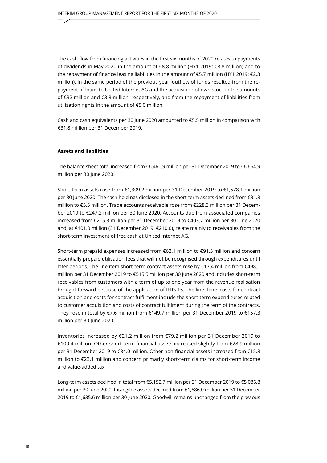The cash flow from financing activities in the first six months of 2020 relates to payments of dividends in May 2020 in the amount of €8.8 million (HY1 2019: €8.8 million) and to the repayment of finance leasing liabilities in the amount of €5.7 million (HY1 2019: €2.3 million). In the same period of the previous year, outflow of funds resulted from the repayment of loans to United Internet AG and the acquisition of own stock in the amounts of €32 million and €3.8 million, respectively, and from the repayment of liabilities from utilisation rights in the amount of €5.0 million.

Cash and cash equivalents per 30 June 2020 amounted to  $\epsilon$ 5.5 million in comparison with €31.8 million per 31 December 2019.

#### **Assets and liabilities**

The balance sheet total increased from €6,461.9 million per 31 December 2019 to €6,664.9 million per 30 June 2020.

Short-term assets rose from €1,309.2 million per 31 December 2019 to €1,578.1 million per 30 June 2020. The cash holdings disclosed in the short-term assets declined from €31.8 million to €5.5 million. Trade accounts receivable rose from €228.3 million per 31 December 2019 to €247.2 million per 30 June 2020. Accounts due from associated companies increased from €215.3 million per 31 December 2019 to €403.7 million per 30 June 2020 and, at €401.0 million (31 December 2019: €210.0), relate mainly to receivables from the short-term investment of free cash at United Internet AG.

Short-term prepaid expenses increased from €62.1 million to €91.5 million and concern essentially prepaid utilisation fees that will not be recognised through expenditures until later periods. The line item short-term contract assets rose by €17.4 million from €498.1 million per 31 December 2019 to €515.5 million per 30 June 2020 and includes short-term receivables from customers with a term of up to one year from the revenue realisation brought forward because of the application of IFRS 15. The line items costs for contract acquisition and costs for contract fulfilment include the short-term expenditures related to customer acquisition and costs of contract fulfilment during the term of the contracts. They rose in total by €7.6 million from €149.7 million per 31 December 2019 to €157.3 million per 30 June 2020.

Inventories increased by €21.2 million from €79.2 million per 31 December 2019 to €100.4 million. Other short-term financial assets increased slightly from €28.9 million per 31 December 2019 to €34.0 million. Other non-financial assets increased from €15.8 million to €23.1 million and concern primarily short-term claims for short-term income and value-added tax.

Long-term assets declined in total from €5,152.7 million per 31 December 2019 to €5,086.8 million per 30 June 2020. Intangible assets declined from €1,686.0 million per 31 December 2019 to €1,635.6 million per 30 June 2020. Goodwill remains unchanged from the previous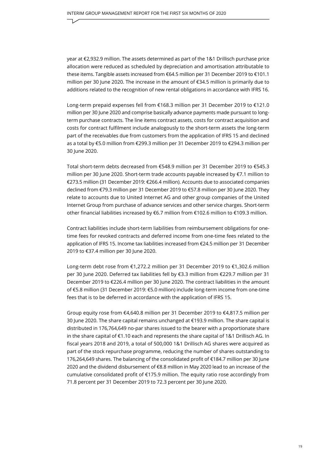year at €2,932.9 million. The assets determined as part of the 1&1 Drillisch purchase price allocation were reduced as scheduled by depreciation and amortisation attributable to these items. Tangible assets increased from €64.5 million per 31 December 2019 to €101.1 million per 30 June 2020. The increase in the amount of €34.5 million is primarily due to additions related to the recognition of new rental obligations in accordance with IFRS 16.

Long-term prepaid expenses fell from €168.3 million per 31 December 2019 to €121.0 million per 30 June 2020 and comprise basically advance payments made pursuant to longterm purchase contracts. The line items contract assets, costs for contract acquisition and costs for contract fulfilment include analogously to the short-term assets the long-term part of the receivables due from customers from the application of IFRS 15 and declined as a total by €5.0 million from €299.3 million per 31 December 2019 to €294.3 million per 30 June 2020.

Total short-term debts decreased from €548.9 million per 31 December 2019 to €545.3 million per 30 June 2020. Short-term trade accounts payable increased by €7.1 million to €273.5 million (31 December 2019: €266.4 million). Accounts due to associated companies declined from €79.3 million per 31 December 2019 to €57.8 million per 30 June 2020. They relate to accounts due to United Internet AG and other group companies of the United Internet Group from purchase of advance services and other service charges. Short-term other financial liabilities increased by €6.7 million from €102.6 million to €109.3 million.

Contract liabilities include short-term liabilities from reimbursement obligations for onetime fees for revoked contracts and deferred income from one-time fees related to the application of IFRS 15. Income tax liabilities increased from €24.5 million per 31 December 2019 to €37.4 million per 30 June 2020.

Long-term debt rose from €1,272.2 million per 31 December 2019 to €1,302.6 million per 30 June 2020. Deferred tax liabilities fell by €3.3 million from €229.7 million per 31 December 2019 to €226.4 million per 30 June 2020. The contract liabilities in the amount of €5.8 million (31 December 2019: €5.0 million) include long-term income from one-time fees that is to be deferred in accordance with the application of IFRS 15.

Group equity rose from €4,640.8 million per 31 December 2019 to €4,817.5 million per 30 June 2020. The share capital remains unchanged at €193.9 million. The share capital is distributed in 176,764,649 no-par shares issued to the bearer with a proportionate share in the share capital of €1.10 each and represents the share capital of 1&1 Drillisch AG. In fiscal years 2018 and 2019, a total of 500,000 1&1 Drillisch AG shares were acquired as part of the stock repurchase programme, reducing the number of shares outstanding to 176,264,649 shares. The balancing of the consolidated profit of €184.7 million per 30 June 2020 and the dividend disbursement of €8.8 million in May 2020 lead to an increase of the cumulative consolidated profit of €175.9 million. The equity ratio rose accordingly from 71.8 percent per 31 December 2019 to 72.3 percent per 30 June 2020.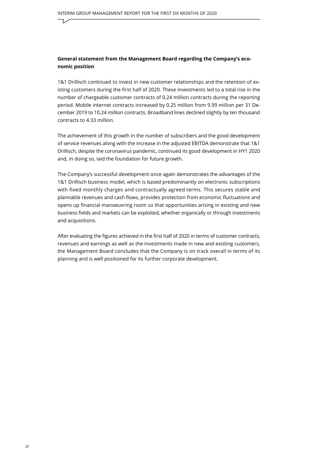#### **General statement from the Management Board regarding the Company's economic position**

1&1 Drillisch continued to invest in new customer relationships and the retention of existing customers during the first half of 2020. These investments led to a total rise in the number of chargeable customer contracts of 0.24 million contracts during the reporting period. Mobile internet contracts increased by 0.25 million from 9.99 million per 31 December 2019 to 10.24 million contracts. Broadband lines declined slightly by ten thousand contracts to 4.33 million.

The achievement of this growth in the number of subscribers and the good development of service revenues along with the increase in the adjusted EBITDA demonstrate that 1&1 Drillisch, despite the coronavirus pandemic, continued its good development in HY1 2020 and, in doing so, laid the foundation for future growth.

The Company's successful development once again demonstrates the advantages of the 1&1 Drillisch business model, which is based predominantly on electronic subscriptions with fixed monthly charges and contractually agreed terms. This secures stable and plannable revenues and cash flows, provides protection from economic fluctuations and opens up financial manoeuvring room so that opportunities arising in existing and new business fields and markets can be exploited, whether organically or through investments and acquisitions.

After evaluating the figures achieved in the first half of 2020 in terms of customer contracts, revenues and earnings as well as the investments made in new and existing customers, the Management Board concludes that the Company is on track overall in terms of its planning and is well positioned for its further corporate development.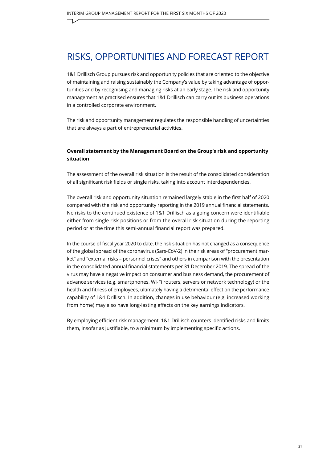### <span id="page-20-0"></span>RISKS, OPPORTUNITIES AND FORECAST REPORT

1&1 Drillisch Group pursues risk and opportunity policies that are oriented to the objective of maintaining and raising sustainably the Company's value by taking advantage of opportunities and by recognising and managing risks at an early stage. The risk and opportunity management as practised ensures that 1&1 Drillisch can carry out its business operations in a controlled corporate environment.

The risk and opportunity management regulates the responsible handling of uncertainties that are always a part of entrepreneurial activities.

#### **Overall statement by the Management Board on the Group's risk and opportunity situation**

The assessment of the overall risk situation is the result of the consolidated consideration of all significant risk fields or single risks, taking into account interdependencies.

The overall risk and opportunity situation remained largely stable in the first half of 2020 compared with the risk and opportunity reporting in the 2019 annual financial statements. No risks to the continued existence of 1&1 Drillisch as a going concern were identifiable either from single risk positions or from the overall risk situation during the reporting period or at the time this semi-annual financial report was prepared.

In the course of fiscal year 2020 to date, the risk situation has not changed as a consequence of the global spread of the coronavirus (Sars-CoV-2) in the risk areas of "procurement market" and "external risks – personnel crises" and others in comparison with the presentation in the consolidated annual financial statements per 31 December 2019. The spread of the virus may have a negative impact on consumer and business demand, the procurement of advance services (e.g. smartphones, Wi-Fi routers, servers or network technology) or the health and fitness of employees, ultimately having a detrimental effect on the performance capability of 1&1 Drillisch. In addition, changes in use behaviour (e.g. increased working from home) may also have long-lasting effects on the key earnings indicators.

By employing efficient risk management, 1&1 Drillisch counters identified risks and limits them, insofar as justifiable, to a minimum by implementing specific actions.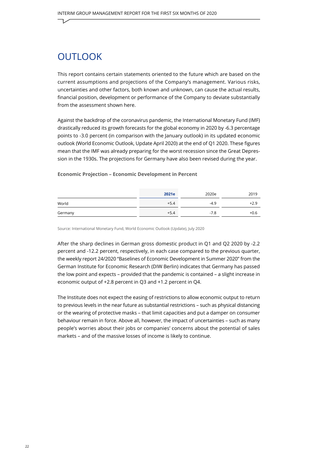### <span id="page-21-0"></span>**OUTLOOK**

This report contains certain statements oriented to the future which are based on the current assumptions and projections of the Company's management. Various risks, uncertainties and other factors, both known and unknown, can cause the actual results, financial position, development or performance of the Company to deviate substantially from the assessment shown here.

Against the backdrop of the coronavirus pandemic, the International Monetary Fund (IMF) drastically reduced its growth forecasts for the global economy in 2020 by -6.3 percentage points to -3.0 percent (in comparison with the January outlook) in its updated economic outlook (World Economic Outlook, Update April 2020) at the end of Q1 2020. These figures mean that the IMF was already preparing for the worst recession since the Great Depression in the 1930s. The projections for Germany have also been revised during the year.

#### **Economic Projection – Economic Development in Percent**

|         | 2021e  | 2020e  | 2019   |
|---------|--------|--------|--------|
| World   | $+5.4$ | $-4.9$ | $+2.9$ |
| Germany | $+5.4$ | $-7.8$ | $+0.6$ |

Source: International Monetary Fund, World Economic Outlook (Update), July 2020

After the sharp declines in German gross domestic product in Q1 and Q2 2020 by -2.2 percent and -12.2 percent, respectively, in each case compared to the previous quarter, the weekly report 24/2020 "Baselines of Economic Development in Summer 2020" from the German Institute for Economic Research (DIW Berlin) indicates that Germany has passed the low point and expects – provided that the pandemic is contained – a slight increase in economic output of +2.8 percent in Q3 and +1.2 percent in Q4.

The Institute does not expect the easing of restrictions to allow economic output to return to previous levels in the near future as substantial restrictions – such as physical distancing or the wearing of protective masks – that limit capacities and put a damper on consumer behaviour remain in force. Above all, however, the impact of uncertainties – such as many people's worries about their jobs or companies' concerns about the potential of sales markets – and of the massive losses of income is likely to continue.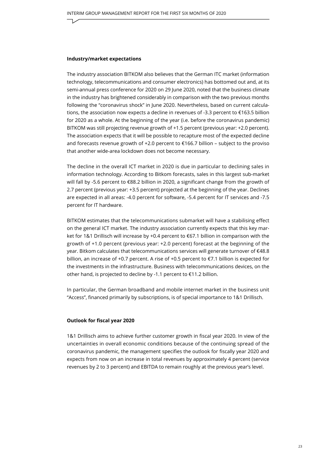#### **Industry/market expectations**

The industry association BITKOM also believes that the German ITC market (information technology, telecommunications and consumer electronics) has bottomed out and, at its semi-annual press conference for 2020 on 29 June 2020, noted that the business climate in the industry has brightened considerably in comparison with the two previous months following the "coronavirus shock" in June 2020. Nevertheless, based on current calculations, the association now expects a decline in revenues of -3.3 percent to €163.5 billion for 2020 as a whole. At the beginning of the year (i.e. before the coronavirus pandemic) BITKOM was still projecting revenue growth of +1.5 percent (previous year: +2.0 percent). The association expects that it will be possible to recapture most of the expected decline and forecasts revenue growth of +2.0 percent to €166.7 billion – subject to the proviso that another wide-area lockdown does not become necessary.

The decline in the overall ICT market in 2020 is due in particular to declining sales in information technology. According to Bitkom forecasts, sales in this largest sub-market will fall by -5.6 percent to €88.2 billion in 2020, a significant change from the growth of 2.7 percent (previous year: +3.5 percent) projected at the beginning of the year. Declines are expected in all areas: -4.0 percent for software, -5.4 percent for IT services and -7.5 percent for IT hardware.

BITKOM estimates that the telecommunications submarket will have a stabilising effect on the general ICT market. The industry association currently expects that this key market for 1&1 Drillisch will increase by +0.4 percent to €67.1 billion in comparison with the growth of +1.0 percent (previous year: +2.0 percent) forecast at the beginning of the year. Bitkom calculates that telecommunications services will generate turnover of €48.8 billion, an increase of +0.7 percent. A rise of +0.5 percent to  $\epsilon$ 7.1 billion is expected for the investments in the infrastructure. Business with telecommunications devices, on the other hand, is projected to decline by -1.1 percent to €11.2 billion.

In particular, the German broadband and mobile internet market in the business unit "Access", financed primarily by subscriptions, is of special importance to 1&1 Drillisch.

#### **Outlook for fiscal year 2020**

1&1 Drillisch aims to achieve further customer growth in fiscal year 2020. In view of the uncertainties in overall economic conditions because of the continuing spread of the coronavirus pandemic, the management specifies the outlook for fiscally year 2020 and expects from now on an increase in total revenues by approximately 4 percent (service revenues by 2 to 3 percent) and EBITDA to remain roughly at the previous year's level.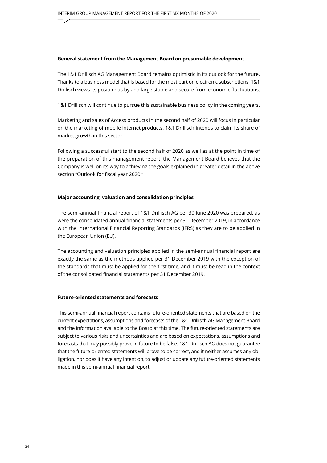#### **General statement from the Management Board on presumable development**

The 1&1 Drillisch AG Management Board remains optimistic in its outlook for the future. Thanks to a business model that is based for the most part on electronic subscriptions, 1&1 Drillisch views its position as by and large stable and secure from economic fluctuations.

1&1 Drillisch will continue to pursue this sustainable business policy in the coming years.

Marketing and sales of Access products in the second half of 2020 will focus in particular on the marketing of mobile internet products. 1&1 Drillisch intends to claim its share of market growth in this sector.

Following a successful start to the second half of 2020 as well as at the point in time of the preparation of this management report, the Management Board believes that the Company is well on its way to achieving the goals explained in greater detail in the above section "Outlook for fiscal year 2020."

#### **Major accounting, valuation and consolidation principles**

The semi-annual financial report of 1&1 Drillisch AG per 30 June 2020 was prepared, as were the consolidated annual financial statements per 31 December 2019, in accordance with the International Financial Reporting Standards (IFRS) as they are to be applied in the European Union (EU).

The accounting and valuation principles applied in the semi-annual financial report are exactly the same as the methods applied per 31 December 2019 with the exception of the standards that must be applied for the first time, and it must be read in the context of the consolidated financial statements per 31 December 2019.

#### **Future-oriented statements and forecasts**

This semi-annual financial report contains future-oriented statements that are based on the current expectations, assumptions and forecasts of the 1&1 Drillisch AG Management Board and the information available to the Board at this time. The future-oriented statements are subject to various risks and uncertainties and are based on expectations, assumptions and forecasts that may possibly prove in future to be false. 1&1 Drillisch AG does not guarantee that the future-oriented statements will prove to be correct, and it neither assumes any obligation, nor does it have any intention, to adjust or update any future-oriented statements made in this semi-annual financial report.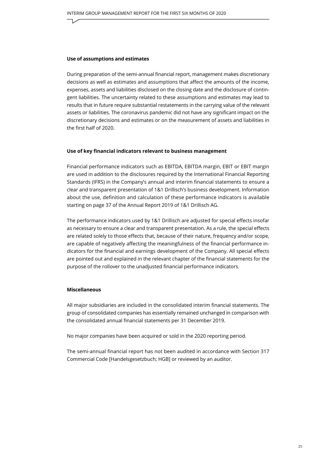#### **Use of assumptions and estimates**

During preparation of the semi-annual financial report, management makes discretionary decisions as well as estimates and assumptions that affect the amounts of the income, expenses, assets and liabilities disclosed on the closing date and the disclosure of contingent liabilities. The uncertainty related to these assumptions and estimates may lead to results that in future require substantial restatements in the carrying value of the relevant assets or liabilities. The coronavirus pandemic did not have any significant impact on the discretionary decisions and estimates or on the measurement of assets and liabilities in the first half of 2020.

#### **Use of key financial indicators relevant to business management**

Financial performance indicators such as EBITDA, EBITDA margin, EBIT or EBIT margin are used in addition to the disclosures required by the International Financial Reporting Standards (IFRS) in the Company's annual and interim financial statements to ensure a clear and transparent presentation of 1&1 Drillisch's business development. Information about the use, definition and calculation of these performance indicators is available starting on page 37 of the Annual Report 2019 of 1&1 Drillisch AG.

The performance indicators used by 1&1 Drillisch are adjusted for special effects insofar as necessary to ensure a clear and transparent presentation. As a rule, the special effects are related solely to those effects that, because of their nature, frequency and/or scope, are capable of negatively affecting the meaningfulness of the financial performance indicators for the financial and earnings development of the Company. All special effects are pointed out and explained in the relevant chapter of the financial statements for the purpose of the rollover to the unadjusted financial performance indicators.

#### **Miscellaneous**

All major subsidiaries are included in the consolidated interim financial statements. The group of consolidated companies has essentially remained unchanged in comparison with the consolidated annual financial statements per 31 December 2019.

No major companies have been acquired or sold in the 2020 reporting period.

The semi-annual financial report has not been audited in accordance with Section 317 Commercial Code [Handelsgesetzbuch; HGB] or reviewed by an auditor.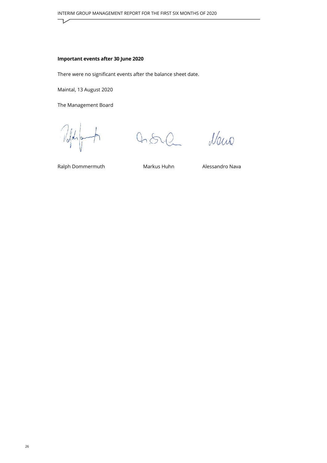#### **Important events after 30 June 2020**

There were no significant events after the balance sheet date.

Maintal, 13 August 2020

The Management Board

Told of  $\overline{\mathcal{A}}$ 

 $0.502$ 

Naw

Ralph Dommermuth Markus Huhn Alessandro Nava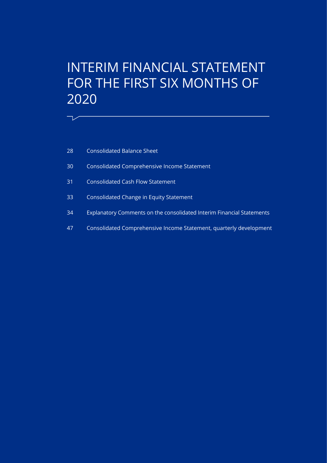# <span id="page-26-0"></span>INTERIM FINANCIAL STATEMENT FOR THE FIRST SIX MONTHS OF

[Consolidated Balance Sheet](#page-27-0)

 $\overline{\phantom{a}}$ 

- [Consolidated Comprehensive Income Statement](#page-29-0)
- [Consolidated Cash Flow Statement](#page-30-0)
- [Consolidated Change in Equity Statement](#page-32-0)
- [Explanatory Comments on the consolidated Interim Financial Statements](#page-33-0)
- [Consolidated Comprehensive Income Statement, quarterly development](#page-46-0)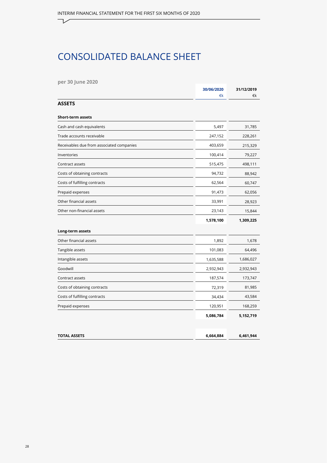# CONSOLIDATED BALANCE SHEET

**per 30 June 2020**

<span id="page-27-0"></span>┑

|                                           | 30/06/2020 | 31/12/2019 |
|-------------------------------------------|------------|------------|
|                                           | €k         | €k         |
| <b>ASSETS</b>                             |            |            |
| <b>Short-term assets</b>                  |            |            |
| Cash and cash equivalents                 | 5,497      | 31,785     |
| Trade accounts receivable                 | 247,152    | 228,261    |
| Receivables due from associated companies | 403,659    | 215,329    |
| Inventories                               | 100,414    | 79,227     |
| Contract assets                           | 515,475    | 498,111    |
| Costs of obtaining contracts              | 94,732     | 88,942     |
| Costs of fulfilling contracts             | 62,564     | 60,747     |
| Prepaid expenses                          | 91,473     | 62,056     |
| Other financial assets                    | 33,991     | 28,923     |
| Other non-financial assets                | 23,143     | 15,844     |
|                                           | 1,578,100  | 1,309,225  |
| Long-term assets                          |            |            |
| Other financial assets                    | 1,892      | 1,678      |
| Tangible assets                           | 101,083    | 64,496     |
| Intangible assets                         | 1,635,588  | 1,686,027  |
| Goodwill                                  | 2,932,943  | 2,932,943  |
| Contract assets                           | 187,574    | 173,747    |
| Costs of obtaining contracts              | 72,319     | 81,985     |
| Costs of fulfilling contracts             | 34,434     | 43,584     |
| Prepaid expenses                          | 120,951    | 168,259    |
|                                           | 5,086,784  | 5,152,719  |
|                                           |            |            |
| <b>TOTAL ASSETS</b>                       | 6,664,884  | 6,461,944  |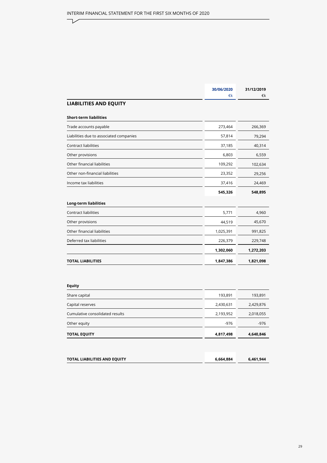| 30/06/2020 | 31/12/2019 |
|------------|------------|
| €k         | €k         |
|            |            |
|            |            |
| 273,464    | 266,369    |
| 57,814     | 79,294     |
| 37,185     | 40,314     |
| 6,803      | 6,559      |
| 109,292    | 102,634    |
| 23,352     | 29,256     |
| 37,416     | 24,469     |
| 545,326    | 548,895    |
|            |            |
| 5,771      | 4,960      |
| 44,519     | 45,670     |
| 1,025,391  | 991,825    |
| 226,379    | 229,748    |
| 1,302,060  | 1,272,203  |
| 1,847,386  | 1,821,098  |
|            |            |

#### **Equity**

 $\overline{\phantom{a}}$ 

| <b>TOTAL EQUITY</b>             | 4,817,498 | 4,640,846 |
|---------------------------------|-----------|-----------|
| Other equity                    | $-976$    | $-976$    |
| Cumulative consolidated results | 2,193,952 | 2,018,055 |
| Capital reserves                | 2,430,631 | 2,429,876 |
| Share capital                   | 193,891   | 193,891   |

| 6,664,884 | 6,461,944 |
|-----------|-----------|
|           |           |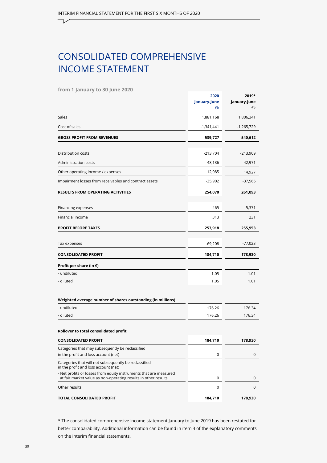# <span id="page-29-0"></span>CONSOLIDATED COMPREHENSIVE INCOME STATEMENT

**from 1 January to 30 June 2020**

|                                                                                                                                     | 2020<br>January-June<br>€k | 2019*<br>January-June<br>€k |
|-------------------------------------------------------------------------------------------------------------------------------------|----------------------------|-----------------------------|
| Sales                                                                                                                               | 1,881,168                  | 1,806,341                   |
| Cost of sales                                                                                                                       | -1,341,441                 | -1,265,729                  |
| <b>GROSS PROFIT FROM REVENUES</b>                                                                                                   | 539,727                    | 540,612                     |
| Distribution costs                                                                                                                  | $-213,704$                 | -213,909                    |
| Administration costs                                                                                                                | $-48,136$                  | $-42,971$                   |
| Other operating income / expenses                                                                                                   | 12,085                     | 14,927                      |
| Impairment losses from receivables and contract assets                                                                              | $-35,902$                  | -37,566                     |
| <b>RESULTS FROM OPERATING ACTIVITIES</b>                                                                                            | 254,070                    | 261,093                     |
| Financing expenses                                                                                                                  | $-465$                     | $-5,371$                    |
| Financial income                                                                                                                    | 313                        | 231                         |
| <b>PROFIT BEFORE TAXES</b>                                                                                                          | 253,918                    | 255,953                     |
| Tax expenses                                                                                                                        | $-69,208$                  | -77,023                     |
| <b>CONSOLIDATED PROFIT</b>                                                                                                          | 184,710                    | 178,930                     |
| Profit per share (in $\epsilon$ )                                                                                                   |                            |                             |
| - undiluted                                                                                                                         | 1.05                       | 1.01                        |
| - diluted                                                                                                                           | 1.05                       | 1.01                        |
| Weighted average number of shares outstanding (in millions)                                                                         |                            |                             |
| - undiluted                                                                                                                         | 176.26                     | 176.34                      |
| - diluted                                                                                                                           | 176.26                     | 176.34                      |
| Rollover to total consolidated profit                                                                                               |                            |                             |
| <b>CONSOLIDATED PROFIT</b>                                                                                                          | 184,710                    | 178,930                     |
| Categories that may subsequently be reclassified<br>in the profit and loss account (net)                                            | 0                          | 0                           |
| Categories that will not subsequently be reclassified<br>in the profit and loss account (net)                                       |                            |                             |
| - Net profits or losses from equity instruments that are measured<br>at fair market value as non-operating results in other results | 0                          | 0                           |
| Other results                                                                                                                       | 0                          | 0                           |
| TOTAL CONSOLIDATED PROFIT                                                                                                           | 184,710                    | 178,930                     |

\* The consolidated comprehensive income statement January to June 2019 has been restated for better comparability. Additional information can be found in item 3 of the explanatory comments on the interim financial statements.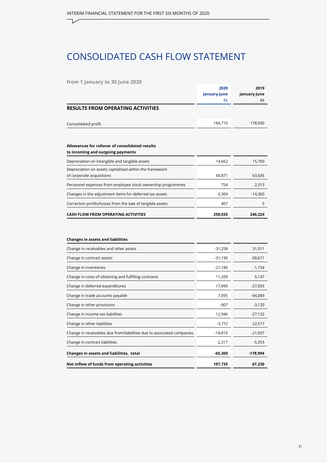# <span id="page-30-0"></span>CONSOLIDATED CASH FLOW STATEMENT

#### **from 1 January to 30 June 2020**

|                                                                                      | 2020<br>January-June<br>€k | 2019<br>January-June<br>€k |
|--------------------------------------------------------------------------------------|----------------------------|----------------------------|
| <b>RESULTS FROM OPERATING ACTIVITIES</b>                                             |                            |                            |
| Consolidated profit                                                                  | 184,710                    | 178,930                    |
| Allowances for rollover of consolidated results<br>to incoming and outgoing payments |                            |                            |
| Depreciation on intangible and tangible assets                                       | 14,662                     | 15,700                     |
| Depreciation on assets capitalised within the framework<br>of corporate acquisitions | 60,871                     | 63,636                     |
| Personnel expenses from employee stock ownership programmes                          | 754                        | 2,313                      |
| Changes in the adjustment items for deferred tax assets                              | $-3,369$                   | $-14,360$                  |
| Correction profits/losses from the sale of tangible assets                           | 407                        | 5                          |
| <b>CASH FLOW FROM OPERATING ACTIVITIES</b>                                           | 258,035                    | 246,224                    |

#### **Changes in assets and liabilities**

| Change in receivables and other assets                                 | -31,258   | 31,011     |
|------------------------------------------------------------------------|-----------|------------|
| Change in contract assets                                              | $-31,190$ | $-58,671$  |
| Change in inventories                                                  | -21,186   | $-1,154$   |
| Change in costs of obtaining and fulfilling contracts                  | 11,209    | 5,147      |
| Change in deferred expenditures                                        | 17,890    | $-27,093$  |
| Change in trade accounts payable                                       | 7,095     | $-94,089$  |
| Change in other provisions                                             | -907      | $-3,120$   |
| Change in income tax liabilities                                       | 12,946    | $-27,132$  |
| Change in other liabilities                                            | $-3,772$  | 22,517     |
| Change in receivables due from/liabilities due to associated companies | $-18,810$ | $-21,057$  |
| Change in contract liabilities                                         | $-2,317$  | $-5,353$   |
| Changes in assets and liabilities, total                               | $-60,300$ | $-178,994$ |
| Net inflow of funds from operating activities                          | 197,735   | 67,230     |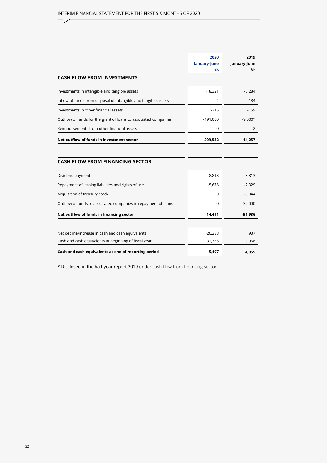$\neg$ 

|                                                                 | 2020<br>January-June | 2019<br>January-June |
|-----------------------------------------------------------------|----------------------|----------------------|
|                                                                 | €k                   | €k                   |
| <b>CASH FLOW FROM INVESTMENTS</b>                               |                      |                      |
| Investments in intangible and tangible assets                   | $-18,321$            | $-5,284$             |
| Inflow of funds from disposal of intangible and tangible assets | 4                    | 184                  |
| Investments in other financial assets                           | $-215$               | $-159$               |
| Outflow of funds for the grant of loans to associated companies | $-191,000$           | $-9,000*$            |
| Reimbursements from other financial assets                      | 0                    | 2                    |
| Net outflow of funds in investment sector                       | $-209,532$           | $-14,257$            |
| <b>CASH FLOW FROM FINANCING SECTOR</b>                          |                      |                      |
| Dividend payment                                                | $-8,813$             | $-8,813$             |
| Repayment of leasing liabilities and rights of use              | $-5,678$             | $-7,329$             |
| Acquisition of treasury stock                                   | $\mathbf 0$          | $-3,844$             |
| Outflow of funds to associated companies in repayment of loans  | 0                    | $-32,000$            |
| Net outflow of funds in financing sector                        | $-14,491$            | $-51,986$            |
|                                                                 |                      |                      |
| Net decline/increase in cash and cash equivalents               | $-26,288$            | 987                  |
| Cash and cash equivalents at beginning of fiscal year           | 31,785               | 3,968                |
| Cash and cash equivalents at end of reporting period            | 5,497                | 4,955                |

\* Disclosed in the half-year report 2019 under cash flow from financing sector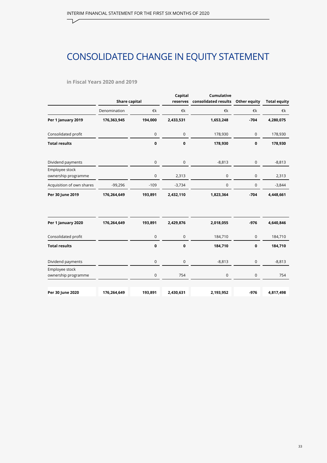# CONSOLIDATED CHANGE IN EQUITY STATEMENT

#### **in Fiscal Years 2020 and 2019**

<span id="page-32-0"></span>┑

|                                       |                      |                     | Capital             | Cumulative           |              |                     |
|---------------------------------------|----------------------|---------------------|---------------------|----------------------|--------------|---------------------|
|                                       | <b>Share capital</b> |                     | reserves            | consolidated results | Other equity | <b>Total equity</b> |
|                                       | Denomination         | €k                  | €k                  | €k                   | €k           | €k                  |
| Per 1 January 2019                    | 176,363,945          | 194,000             | 2,433,531           | 1,653,248            | $-704$       | 4,280,075           |
| Consolidated profit                   |                      | $\mathsf{O}\xspace$ | $\mathsf{O}\xspace$ | 178,930              | $\mathsf{O}$ | 178,930             |
| <b>Total results</b>                  |                      | $\mathbf 0$         | 0                   | 178,930              | $\bf{0}$     | 178,930             |
| Dividend payments                     |                      | 0                   | $\mathbf 0$         | $-8,813$             | $\pmb{0}$    | $-8,813$            |
| Employee stock<br>ownership programme |                      | 0                   | 2,313               | 0                    | $\pmb{0}$    | 2,313               |
| Acquisition of own shares             | $-99,296$            | $-109$              | $-3,734$            | 0                    | $\pmb{0}$    | $-3,844$            |
| Per 30 June 2019                      | 176,264,649          | 193,891             | 2,432,110           | 1,823,364            | $-704$       | 4,448,661           |
| Per 1 January 2020                    | 176,264,649          | 193,891             | 2,429,876           | 2,018,055            | $-976$       | 4,640,846           |
| Consolidated profit                   |                      | 0                   | $\mathbf 0$         | 184,710              | $\mathbf 0$  | 184,710             |
| <b>Total results</b>                  |                      | 0                   | 0                   | 184,710              | $\mathbf 0$  | 184,710             |
| Dividend payments                     |                      | 0                   | $\mathsf{O}\xspace$ | $-8,813$             | $\pmb{0}$    | $-8,813$            |
| Employee stock<br>ownership programme |                      | 0                   | 754                 | 0                    | 0            | 754                 |
| Per 30 June 2020                      | 176,264,649          | 193,891             | 2,430,631           | 2,193,952            | $-976$       | 4,817,498           |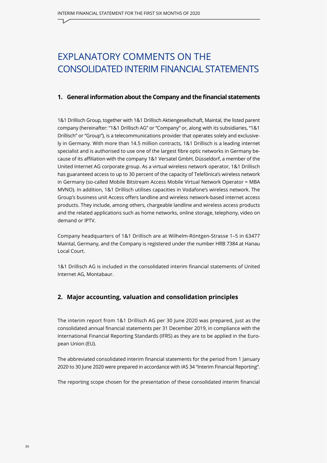# <span id="page-33-0"></span>EXPLANATORY COMMENTS ON THE CONSOLIDATED INTERIM FINANCIAL STATEMENTS

#### **1. General information about the Company and the financial statements**

1&1 Drillisch Group, together with 1&1 Drillisch Aktiengesellschaft, Maintal, the listed parent company (hereinafter: "1&1 Drillisch AG" or "Company" or, along with its subsidiaries, "1&1 Drillisch" or "Group"), is a telecommunications provider that operates solely and exclusively in Germany. With more than 14.5 million contracts, 1&1 Drillisch is a leading internet specialist and is authorised to use one of the largest fibre optic networks in Germany because of its affiliation with the company 1&1 Versatel GmbH, Düsseldorf, a member of the United Internet AG corporate group. As a virtual wireless network operator, 1&1 Drillisch has guaranteed access to up to 30 percent of the capacity of Telefónica's wireless network in Germany (so-called Mobile Bitstream Access Mobile Virtual Network Operator = MBA MVNO). In addition, 1&1 Drillisch utilises capacities in Vodafone's wireless network. The Group's business unit Access offers landline and wireless network-based internet access products. They include, among others, chargeable landline and wireless access products and the related applications such as home networks, online storage, telephony, video on demand or IPTV.

Company headquarters of 1&1 Drillisch are at Wilhelm-Röntgen-Strasse 1–5 in 63477 Maintal, Germany, and the Company is registered under the number HRB 7384 at Hanau Local Court.

1&1 Drillisch AG is included in the consolidated interim financial statements of United Internet AG, Montabaur.

#### **2. Major accounting, valuation and consolidation principles**

The interim report from 1&1 Drillisch AG per 30 June 2020 was prepared, just as the consolidated annual financial statements per 31 December 2019, in compliance with the International Financial Reporting Standards (IFRS) as they are to be applied in the European Union (EU).

The abbreviated consolidated interim financial statements for the period from 1 January 2020 to 30 June 2020 were prepared in accordance with IAS 34 "Interim Financial Reporting".

The reporting scope chosen for the presentation of these consolidated interim financial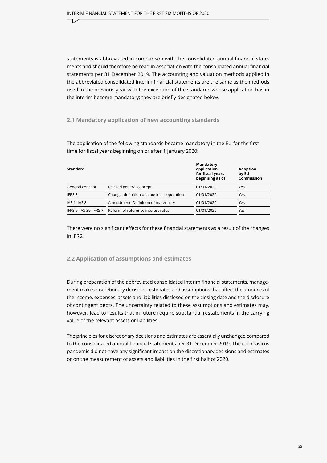statements is abbreviated in comparison with the consolidated annual financial statements and should therefore be read in association with the consolidated annual financial statements per 31 December 2019. The accounting and valuation methods applied in the abbreviated consolidated interim financial statements are the same as the methods used in the previous year with the exception of the standards whose application has in the interim become mandatory; they are briefly designated below.

#### **2.1 Mandatory application of new accounting standards**

The application of the following standards became mandatory in the EU for the first time for fiscal years beginning on or after 1 January 2020:

| <b>Standard</b>        |                                            | Mandatory<br>application<br>for fiscal years<br>beginning as of | <b>Adoption</b><br>by EU<br>Commission |
|------------------------|--------------------------------------------|-----------------------------------------------------------------|----------------------------------------|
| General concept        | Revised general concept                    | 01/01/2020                                                      | Yes                                    |
| IFRS 3                 | Change: definition of a business operation | 01/01/2020                                                      | Yes                                    |
| <b>IAS 1, IAS 8</b>    | Amendment: Definition of materiality       | 01/01/2020                                                      | Yes                                    |
| IFRS 9, IAS 39, IFRS 7 | Reform of reference interest rates         | 01/01/2020                                                      | Yes                                    |
|                        |                                            |                                                                 |                                        |

There were no significant effects for these financial statements as a result of the changes in IFRS.

#### **2.2 Application of assumptions and estimates**

During preparation of the abbreviated consolidated interim financial statements, management makes discretionary decisions, estimates and assumptions that affect the amounts of the income, expenses, assets and liabilities disclosed on the closing date and the disclosure of contingent debts. The uncertainty related to these assumptions and estimates may, however, lead to results that in future require substantial restatements in the carrying value of the relevant assets or liabilities.

The principles for discretionary decisions and estimates are essentially unchanged compared to the consolidated annual financial statements per 31 December 2019. The coronavirus pandemic did not have any significant impact on the discretionary decisions and estimates or on the measurement of assets and liabilities in the first half of 2020.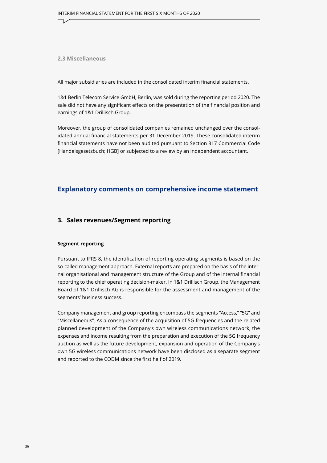**2.3 Miscellaneous** 

All major subsidiaries are included in the consolidated interim financial statements.

1&1 Berlin Telecom Service GmbH, Berlin, was sold during the reporting period 2020. The sale did not have any significant effects on the presentation of the financial position and earnings of 1&1 Drillisch Group.

Moreover, the group of consolidated companies remained unchanged over the consolidated annual financial statements per 31 December 2019. These consolidated interim financial statements have not been audited pursuant to Section 317 Commercial Code [Handelsgesetzbuch; HGB] or subjected to a review by an independent accountant.

#### **Explanatory comments on comprehensive income statement**

#### **3. Sales revenues/Segment reporting**

#### **Segment reporting**

Pursuant to IFRS 8, the identification of reporting operating segments is based on the so-called management approach. External reports are prepared on the basis of the internal organisational and management structure of the Group and of the internal financial reporting to the chief operating decision-maker. In 1&1 Drillisch Group, the Management Board of 1&1 Drillisch AG is responsible for the assessment and management of the segments' business success.

Company management and group reporting encompass the segments "Access," "5G" and "Miscellaneous". As a consequence of the acquisition of 5G frequencies and the related planned development of the Company's own wireless communications network, the expenses and income resulting from the preparation and execution of the 5G frequency auction as well as the future development, expansion and operation of the Company's own 5G wireless communications network have been disclosed as a separate segment and reported to the CODM since the first half of 2019.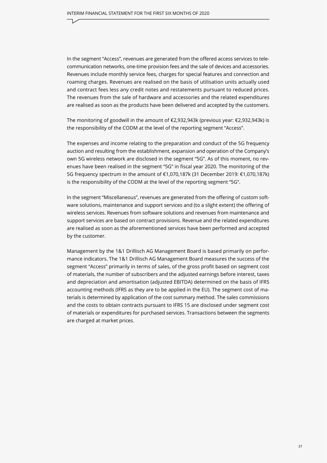In the segment "Access", revenues are generated from the offered access services to telecommunication networks, one-time provision fees and the sale of devices and accessories. Revenues include monthly service fees, charges for special features and connection and roaming charges. Revenues are realised on the basis of utilisation units actually used and contract fees less any credit notes and restatements pursuant to reduced prices. The revenues from the sale of hardware and accessories and the related expenditures are realised as soon as the products have been delivered and accepted by the customers.

The monitoring of goodwill in the amount of  $\epsilon$ 2,932,943k (previous year:  $\epsilon$ 2,932,943k) is the responsibility of the CODM at the level of the reporting segment "Access".

The expenses and income relating to the preparation and conduct of the 5G frequency auction and resulting from the establishment, expansion and operation of the Company's own 5G wireless network are disclosed in the segment "5G". As of this moment, no revenues have been realised in the segment "5G" in fiscal year 2020. The monitoring of the 5G frequency spectrum in the amount of €1,070,187k (31 December 2019: €1,070,187k) is the responsibility of the CODM at the level of the reporting segment "5G".

In the segment "Miscellaneous", revenues are generated from the offering of custom software solutions, maintenance and support services and (to a slight extent) the offering of wireless services. Revenues from software solutions and revenues from maintenance and support services are based on contract provisions. Revenue and the related expenditures are realised as soon as the aforementioned services have been performed and accepted by the customer.

Management by the 1&1 Drillisch AG Management Board is based primarily on performance indicators. The 1&1 Drillisch AG Management Board measures the success of the segment "Access" primarily in terms of sales, of the gross profit based on segment cost of materials, the number of subscribers and the adjusted earnings before interest, taxes and depreciation and amortisation (adjusted EBITDA) determined on the basis of IFRS accounting methods (IFRS as they are to be applied in the EU). The segment cost of materials is determined by application of the cost summary method. The sales commissions and the costs to obtain contracts pursuant to IFRS 15 are disclosed under segment cost of materials or expenditures for purchased services. Transactions between the segments are charged at market prices.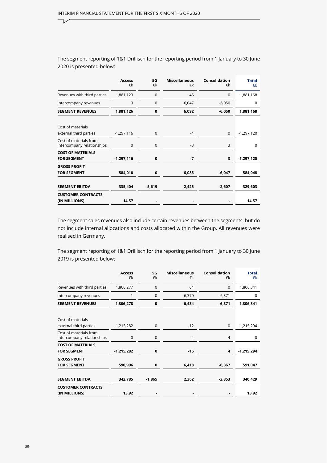ㄱ

The segment reporting of 1&1 Drillisch for the reporting period from 1 January to 30 June 2020 is presented below:

|                                                      | <b>Access</b><br>€k | 5G<br>€k    | <b>Miscellaneous</b><br>€k | <b>Consolidation</b><br>€k | <b>Total</b><br>€k |
|------------------------------------------------------|---------------------|-------------|----------------------------|----------------------------|--------------------|
| Revenues with third parties                          | 1,881,123           | $\mathbf 0$ | 45                         | $\mathbf 0$                | 1,881,168          |
| Intercompany revenues                                | 3                   | $\mathbf 0$ | 6,047                      | $-6,050$                   | $\Omega$           |
| <b>SEGMENT REVENUES</b>                              | 1,881,126           | $\mathbf 0$ | 6,092                      | $-6,050$                   | 1,881,168          |
| Cost of materials<br>external third parties          | $-1,297,116$        | 0           | $-4$                       | $\mathbf{0}$               | $-1,297,120$       |
| Cost of materials from<br>intercompany relationships | 0                   | 0           | $-3$                       | 3                          | 0                  |
| <b>COST OF MATERIALS</b><br><b>FOR SEGMENT</b>       | $-1,297,116$        | 0           | $-7$                       | 3                          | $-1,297,120$       |
| <b>GROSS PROFIT</b><br><b>FOR SEGMENT</b>            | 584,010             | 0           | 6,085                      | $-6,047$                   | 584,048            |
| <b>SEGMENT EBITDA</b>                                | 335,404             | $-5,619$    | 2,425                      | $-2,607$                   | 329,603            |
| <b>CUSTOMER CONTRACTS</b><br>(IN MILLIONS)           | 14.57               |             |                            |                            | 14.57              |

The segment sales revenues also include certain revenues between the segments, but do not include internal allocations and costs allocated within the Group. All revenues were realised in Germany.

The segment reporting of 1&1 Drillisch for the reporting period from 1 January to 30 June 2019 is presented below:

|                                                      | <b>Access</b><br>€k | 5G<br>€k    | <b>Miscellaneous</b><br>€k | Consolidation<br>€k | <b>Total</b><br>€k |
|------------------------------------------------------|---------------------|-------------|----------------------------|---------------------|--------------------|
| Revenues with third parties                          | 1,806,277           | 0           | 64                         | $\mathbf 0$         | 1,806,341          |
| Intercompany revenues                                |                     | $\mathbf 0$ | 6,370                      | $-6,371$            | 0                  |
| <b>SEGMENT REVENUES</b>                              | 1,806,278           | $\mathbf 0$ | 6,434                      | $-6,371$            | 1,806,341          |
| Cost of materials<br>external third parties          | $-1,215,282$        | 0           | $-12$                      | $\mathbf{0}$        | $-1,215,294$       |
| Cost of materials from<br>intercompany relationships | $\mathbf 0$         | $\pmb{0}$   | $-4$                       | 4                   | 0                  |
| <b>COST OF MATERIALS</b><br><b>FOR SEGMENT</b>       | $-1,215,282$        | 0           | $-16$                      | 4                   | $-1,215,294$       |
| <b>GROSS PROFIT</b><br><b>FOR SEGMENT</b>            | 590,996             | 0           | 6,418                      | $-6,367$            | 591,047            |
| <b>SEGMENT EBITDA</b>                                | 342,785             | $-1,865$    | 2,362                      | $-2,853$            | 340,429            |
| <b>CUSTOMER CONTRACTS</b><br>(IN MILLIONS)           | 13.92               |             |                            |                     | 13.92              |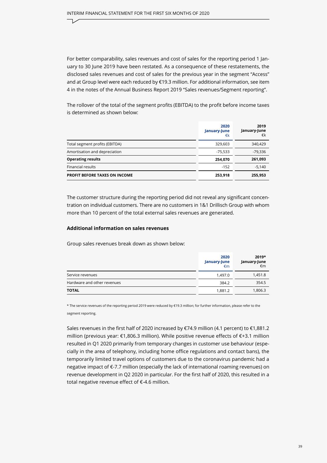For better comparability, sales revenues and cost of sales for the reporting period 1 January to 30 June 2019 have been restated. As a consequence of these restatements, the disclosed sales revenues and cost of sales for the previous year in the segment "Access" and at Group level were each reduced by €19.3 million. For additional information, see item 4 in the notes of the Annual Business Report 2019 "Sales revenues/Segment reporting".

The rollover of the total of the segment profits (EBITDA) to the profit before income taxes is determined as shown below:

|                                      | 2020<br>January-June<br>€k | 2019<br>January-June<br>€k |
|--------------------------------------|----------------------------|----------------------------|
| Total segment profits (EBITDA)       | 329,603                    | 340,429                    |
| Amortisation and depreciation        | $-75,533$                  | $-79,336$                  |
| <b>Operating results</b>             | 254,070                    | 261,093                    |
| Financial results                    | $-152$                     | $-5,140$                   |
| <b>PROFIT BEFORE TAXES ON INCOME</b> | 253,918                    | 255,953                    |

The customer structure during the reporting period did not reveal any significant concentration on individual customers. There are no customers in 1&1 Drillisch Group with whom more than 10 percent of the total external sales revenues are generated.

#### **Additional information on sales revenues**

Group sales revenues break down as shown below:

|                             | 2020<br>January-June<br>€m | 2019*<br>January-June<br>€m |
|-----------------------------|----------------------------|-----------------------------|
| Service revenues            | 1,497.0                    | 1,451.8                     |
| Hardware and other revenues | 384.2                      | 354.5                       |
| TOTAL                       | 1,881.2                    | 1,806.3                     |

\* The service revenues of the reporting period 2019 were reduced by €19.3 million; for further information, please refer to the segment reporting.

Sales revenues in the first half of 2020 increased by €74.9 million (4.1 percent) to €1,881.2 million (previous year: €1,806.3 million). While positive revenue effects of €+3.1 million resulted in Q1 2020 primarily from temporary changes in customer use behaviour (especially in the area of telephony, including home office regulations and contact bans), the temporarily limited travel options of customers due to the coronavirus pandemic had a negative impact of €-7.7 million (especially the lack of international roaming revenues) on revenue development in Q2 2020 in particular. For the first half of 2020, this resulted in a total negative revenue effect of €-4.6 million.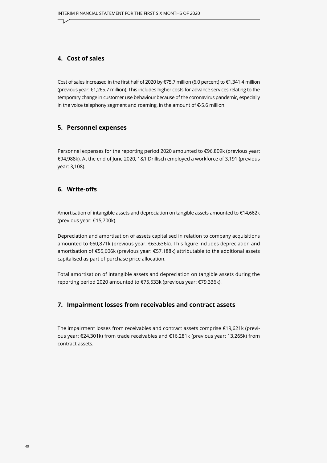#### **4. Cost of sales**

Cost of sales increased in the first half of 2020 by €75.7 million (6.0 percent) to €1,341.4 million (previous year: €1,265.7 million). This includes higher costs for advance services relating to the temporary change in customer use behaviour because of the coronavirus pandemic, especially in the voice telephony segment and roaming, in the amount of €-5.6 million.

#### **5. Personnel expenses**

Personnel expenses for the reporting period 2020 amounted to €96,809k (previous year: €94,988k). At the end of June 2020, 1&1 Drillisch employed a workforce of 3,191 (previous year: 3,108).

#### **6. Write-offs**

Amortisation of intangible assets and depreciation on tangible assets amounted to €14,662k (previous year: €15,700k).

Depreciation and amortisation of assets capitalised in relation to company acquisitions amounted to €60,871k (previous year: €63,636k). This figure includes depreciation and amortisation of €55,606k (previous year: €57,188k) attributable to the additional assets capitalised as part of purchase price allocation.

Total amortisation of intangible assets and depreciation on tangible assets during the reporting period 2020 amounted to €75,533k (previous year: €79,336k).

#### **7. Impairment losses from receivables and contract assets**

The impairment losses from receivables and contract assets comprise €19,621k (previous year: €24,301k) from trade receivables and €16,281k (previous year: 13,265k) from contract assets.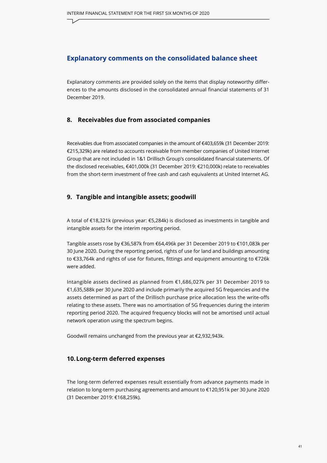#### **Explanatory comments on the consolidated balance sheet**

Explanatory comments are provided solely on the items that display noteworthy differences to the amounts disclosed in the consolidated annual financial statements of 31 December 2019.

#### **8. Receivables due from associated companies**

Receivables due from associated companies in the amount of €403,659k (31 December 2019: €215,329k) are related to accounts receivable from member companies of United Internet Group that are not included in 1&1 Drillisch Group's consolidated financial statements. Of the disclosed receivables, €401,000k (31 December 2019: €210,000k) relate to receivables from the short-term investment of free cash and cash equivalents at United Internet AG.

#### **9. Tangible and intangible assets; goodwill**

A total of €18,321k (previous year: €5,284k) is disclosed as investments in tangible and intangible assets for the interim reporting period.

Tangible assets rose by €36,587k from €64,496k per 31 December 2019 to €101,083k per 30 June 2020. During the reporting period, rights of use for land and buildings amounting to €33,764k and rights of use for fixtures, fittings and equipment amounting to €726k were added.

Intangible assets declined as planned from €1,686,027k per 31 December 2019 to €1,635,588k per 30 June 2020 and include primarily the acquired 5G frequencies and the assets determined as part of the Drillisch purchase price allocation less the write-offs relating to these assets. There was no amortisation of 5G frequencies during the interim reporting period 2020. The acquired frequency blocks will not be amortised until actual network operation using the spectrum begins.

Goodwill remains unchanged from the previous year at €2,932,943k.

#### **10.Long-term deferred expenses**

The long-term deferred expenses result essentially from advance payments made in relation to long-term purchasing agreements and amount to €120,951k per 30 June 2020 (31 December 2019: €168,259k).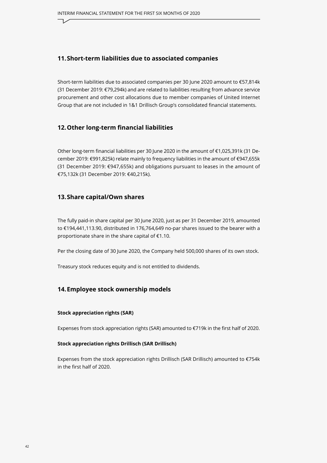#### **11.Short-term liabilities due to associated companies**

Short-term liabilities due to associated companies per 30 June 2020 amount to €57,814k (31 December 2019: €79,294k) and are related to liabilities resulting from advance service procurement and other cost allocations due to member companies of United Internet Group that are not included in 1&1 Drillisch Group's consolidated financial statements.

#### **12.Other long-term financial liabilities**

Other long-term financial liabilities per 30 June 2020 in the amount of €1,025,391k (31 December 2019: €991,825k) relate mainly to frequency liabilities in the amount of €947,655k (31 December 2019: €947,655k) and obligations pursuant to leases in the amount of €75,132k (31 December 2019: €40,215k).

#### **13.Share capital/Own shares**

The fully paid-in share capital per 30 June 2020, just as per 31 December 2019, amounted to €194,441,113.90, distributed in 176,764,649 no-par shares issued to the bearer with a proportionate share in the share capital of €1.10.

Per the closing date of 30 June 2020, the Company held 500,000 shares of its own stock.

Treasury stock reduces equity and is not entitled to dividends.

#### **14.Employee stock ownership models**

#### **Stock appreciation rights (SAR)**

Expenses from stock appreciation rights (SAR) amounted to €719k in the first half of 2020.

#### **Stock appreciation rights Drillisch (SAR Drillisch)**

Expenses from the stock appreciation rights Drillisch (SAR Drillisch) amounted to €754k in the first half of 2020.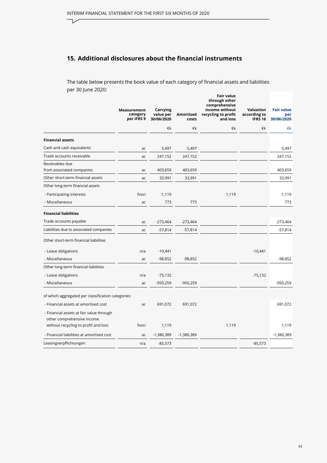$\overline{\phantom{a}}$ 

#### **15. Additional disclosures about the financial instruments**

The table below presents the book value of each category of financial assets and liabilities per 30 June 2020:

|                                                                        | Measurement<br>category<br>per IFRS 9 | Carrying<br>value per<br>30/06/2020 | Amortised<br>costs | Fair value<br>through other<br>comprehensive<br>income without<br>recycling to profit<br>and loss | Valuation<br>according to<br><b>IFRS 16</b> | <b>Fair value</b><br>per<br>30/06/2020 |
|------------------------------------------------------------------------|---------------------------------------|-------------------------------------|--------------------|---------------------------------------------------------------------------------------------------|---------------------------------------------|----------------------------------------|
|                                                                        |                                       | €k                                  | €k                 | €k                                                                                                | €k                                          | €k                                     |
| <b>Financial assets</b>                                                |                                       |                                     |                    |                                                                                                   |                                             |                                        |
| Cash and cash equivalents                                              | ac                                    | 5,497                               | 5,497              |                                                                                                   |                                             | 5,497                                  |
| Trade accounts receivable                                              | ac                                    | 247,152                             | 247,152            |                                                                                                   |                                             | 247,152                                |
| Receivables due<br>from associated companies                           | ac                                    | 403,659                             | 403,659            |                                                                                                   |                                             | 403,659                                |
| Other short-term financial assets                                      | ac                                    | 33,991                              | 33,991             |                                                                                                   |                                             | 33,991                                 |
| Other long-term financial assets                                       |                                       |                                     |                    |                                                                                                   |                                             |                                        |
| - Participating interests                                              | fvoci                                 | 1,119                               |                    | 1,119                                                                                             |                                             | 1,119                                  |
| - Miscellaneous                                                        | ac                                    | 773                                 | 773                |                                                                                                   |                                             | 773                                    |
| <b>Financial liabilities</b>                                           |                                       |                                     |                    |                                                                                                   |                                             |                                        |
| Trade accounts payable                                                 | ac                                    | $-273,464$                          | -273,464           |                                                                                                   |                                             | $-273,464$                             |
| Liabilities due to associated companies                                | ac                                    | $-57,814$                           | $-57,814$          |                                                                                                   |                                             | $-57,814$                              |
| Other short-term financial liabilities                                 |                                       |                                     |                    |                                                                                                   |                                             |                                        |
| - Lease obligations                                                    | n/a                                   | $-10,441$                           |                    |                                                                                                   | $-10,441$                                   |                                        |
| - Miscellaneous                                                        | ac                                    | $-98,852$                           | $-98,852$          |                                                                                                   |                                             | $-98,852$                              |
| Other long-term financial liabilities                                  |                                       |                                     |                    |                                                                                                   |                                             |                                        |
| - Lease obligations                                                    | n/a                                   | $-75,132$                           |                    |                                                                                                   | $-75,132$                                   |                                        |
| - Miscellaneous                                                        | ac                                    | $-950,259$                          | -950,259           |                                                                                                   |                                             | -950,259                               |
| of which aggregated per classification categories:                     |                                       |                                     |                    |                                                                                                   |                                             |                                        |
| - Financial assets at amortised cost                                   | ac                                    | 691,072                             | 691,072            |                                                                                                   |                                             | 691,072                                |
| - Financial assets at fair value through<br>other comprehensive income |                                       |                                     |                    |                                                                                                   |                                             |                                        |
| without recycling to profit and loss                                   | fvoci                                 | 1,119                               |                    | 1,119                                                                                             |                                             | 1,119                                  |
| - Financial liabilities at amortised cost                              | ac                                    | -1,380,389                          | $-1,380,389$       |                                                                                                   |                                             | $-1,380,389$                           |
| Leasingverpflichtungen                                                 | n/a                                   | $-85,573$                           |                    |                                                                                                   | $-85,573$                                   |                                        |
|                                                                        |                                       |                                     |                    |                                                                                                   |                                             |                                        |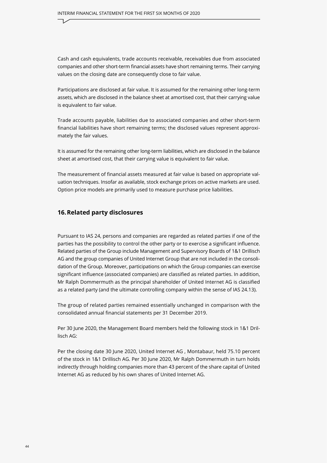Cash and cash equivalents, trade accounts receivable, receivables due from associated companies and other short-term financial assets have short remaining terms. Their carrying values on the closing date are consequently close to fair value.

Participations are disclosed at fair value. It is assumed for the remaining other long-term assets, which are disclosed in the balance sheet at amortised cost, that their carrying value is equivalent to fair value.

Trade accounts payable, liabilities due to associated companies and other short-term financial liabilities have short remaining terms; the disclosed values represent approximately the fair values.

It is assumed for the remaining other long-term liabilities, which are disclosed in the balance sheet at amortised cost, that their carrying value is equivalent to fair value.

The measurement of financial assets measured at fair value is based on appropriate valuation techniques. Insofar as available, stock exchange prices on active markets are used. Option price models are primarily used to measure purchase price liabilities.

#### **16.Related party disclosures**

Pursuant to IAS 24, persons and companies are regarded as related parties if one of the parties has the possibility to control the other party or to exercise a significant influence. Related parties of the Group include Management and Supervisory Boards of 1&1 Drillisch AG and the group companies of United Internet Group that are not included in the consolidation of the Group. Moreover, participations on which the Group companies can exercise significant influence (associated companies) are classified as related parties. In addition, Mr Ralph Dommermuth as the principal shareholder of United Internet AG is classified as a related party (and the ultimate controlling company within the sense of IAS 24.13).

The group of related parties remained essentially unchanged in comparison with the consolidated annual financial statements per 31 December 2019.

Per 30 June 2020, the Management Board members held the following stock in 1&1 Drillisch AG:

Per the closing date 30 June 2020, United Internet AG , Montabaur, held 75.10 percent of the stock in 1&1 Drillisch AG. Per 30 June 2020, Mr Ralph Dommermuth in turn holds indirectly through holding companies more than 43 percent of the share capital of United Internet AG as reduced by his own shares of United Internet AG.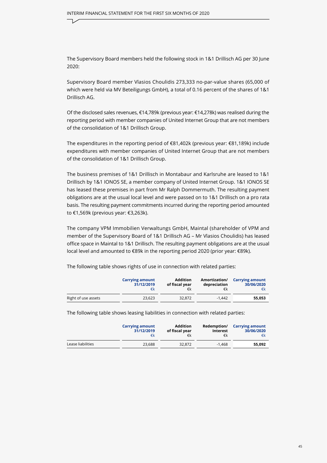The Supervisory Board members held the following stock in 1&1 Drillisch AG per 30 June 2020:

Supervisory Board member Vlasios Choulidis 273,333 no-par-value shares (65,000 of which were held via MV Beteiligungs GmbH), a total of 0.16 percent of the shares of 1&1 Drillisch AG.

Of the disclosed sales revenues, €14,789k (previous year: €14,278k) was realised during the reporting period with member companies of United Internet Group that are not members of the consolidation of 1&1 Drillisch Group.

The expenditures in the reporting period of €81,402k (previous year: €81,189k) include expenditures with member companies of United Internet Group that are not members of the consolidation of 1&1 Drillisch Group.

The business premises of 1&1 Drillisch in Montabaur and Karlsruhe are leased to 1&1 Drillisch by 1&1 IONOS SE, a member company of United Internet Group. 1&1 IONOS SE has leased these premises in part from Mr Ralph Dommermuth. The resulting payment obligations are at the usual local level and were passed on to 1&1 Drillisch on a pro rata basis. The resulting payment commitments incurred during the reporting period amounted to €1,569k (previous year: €3,263k).

The company VPM Immobilien Verwaltungs GmbH, Maintal (shareholder of VPM and member of the Supervisory Board of 1&1 Drillisch AG – Mr Vlasios Choulidis) has leased office space in Maintal to 1&1 Drillisch. The resulting payment obligations are at the usual local level and amounted to €89k in the reporting period 2020 (prior year: €89k).

|                     | <b>Carrying amount</b> | <b>Addition</b> | Amortization/ | <b>Carrying amount</b> |
|---------------------|------------------------|-----------------|---------------|------------------------|
|                     | 31/12/2019             | of fiscal year  | depreciation  | 30/06/2020             |
|                     | €k                     | €k              | €k            | €k                     |
| Right of use assets | 23.623                 | 32.872          | $-1.442$      | 55.053                 |

The following table shows rights of use in connection with related parties:

The following table shows leasing liabilities in connection with related parties:

|                   | <b>Carrying amount</b> | <b>Addition</b> | Redemption/ | <b>Carrying amount</b> |
|-------------------|------------------------|-----------------|-------------|------------------------|
|                   | 31/12/2019             | of fiscal year  | Interest    | 30/06/2020             |
|                   | €k                     | €k              | €k          | €k                     |
| Lease liabilities | 23.688                 | 32.872          | $-1.468$    | 55,092                 |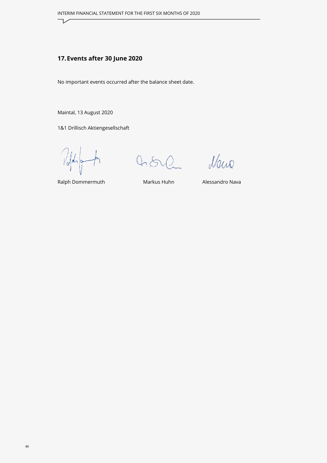#### **17.Events after 30 June 2020**

No important events occurred after the balance sheet date.

Maintal, 13 August 2020

1&1 Drillisch Aktiengesellschaft

Told

 $0,8$ 

Naus

Ralph Dommermuth Markus Huhn Alessandro Nava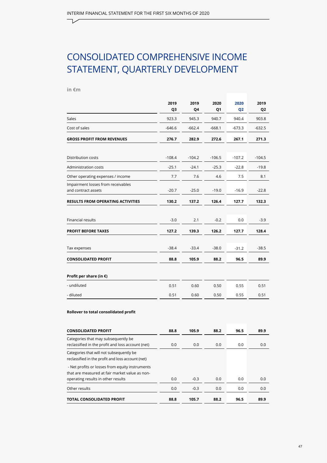# <span id="page-46-0"></span>CONSOLIDATED COMPREHENSIVE INCOME STATEMENT, QUARTERLY DEVELOPMENT

#### **in €m**

|                                                           | 2019<br>Q <sub>3</sub> | 2019<br>Q4 | 2020<br>Q1 | 2020<br>Q <sub>2</sub> | 2019<br>Q <sub>2</sub> |
|-----------------------------------------------------------|------------------------|------------|------------|------------------------|------------------------|
| Sales                                                     | 923.3                  | 945.3      | 940.7      | 940.4                  | 903.8                  |
| Cost of sales                                             | $-646.6$               | $-662.4$   | $-668.1$   | $-673.3$               | $-632.5$               |
| <b>GROSS PROFIT FROM REVENUES</b>                         | 276.7                  | 282.9      | 272.6      | 267.1                  | 271.3                  |
|                                                           |                        |            |            |                        |                        |
| Distribution costs                                        | $-108.4$               | $-104.2$   | $-106.5$   | $-107.2$               | $-104.5$               |
| <b>Administration costs</b>                               | $-25.1$                | $-24.1$    | $-25.3$    | $-22.8$                | $-19.8$                |
| Other operating expenses / income                         | 7.7                    | 7.6        | 4.6        | 7.5                    | 8.1                    |
| Impairment losses from receivables<br>and contract assets | $-20.7$                | $-25.0$    | $-19.0$    | $-16.9$                | $-22.8$                |
| <b>RESULTS FROM OPERATING ACTIVITIES</b>                  | 130.2                  | 137.2      | 126.4      | 127.7                  | 132.3                  |
|                                                           |                        |            |            |                        |                        |
| <b>Financial results</b>                                  | $-3.0$                 | 2.1        | $-0.2$     | 0.0                    | $-3.9$                 |
| <b>PROFIT BEFORE TAXES</b>                                | 127.2                  | 139.3      | 126.2      | 127.7                  | 128.4                  |
| Tax expenses                                              | $-38.4$                | $-33.4$    | $-38.0$    | $-31.2$                | $-38.5$                |
| <b>CONSOLIDATED PROFIT</b>                                | 88.8                   | 105.9      | 88.2       | 96.5                   | 89.9                   |
|                                                           |                        |            |            |                        |                        |
| Profit per share (in $\epsilon$ )                         |                        |            |            |                        |                        |
| - undiluted                                               | 0.51                   | 0.60       | 0.50       | 0.55                   | 0.51                   |
| - diluted                                                 | 0.51                   | 0.60       | 0.50       | 0.55                   | 0.51                   |
|                                                           |                        |            |            |                        |                        |

#### **Rollover to total consolidated profit**

| <b>CONSOLIDATED PROFIT</b>                                                                        | 88.8 | 105.9  | 88.2 | 96.5 | 89.9 |
|---------------------------------------------------------------------------------------------------|------|--------|------|------|------|
| Categories that may subsequently be<br>reclassified in the profit and loss account (net)          | 0.0  | 0.0    | 0.0  | 0.0  | 0.0  |
| Categories that will not subsequently be<br>reclassified in the profit and loss account (net)     |      |        |      |      |      |
| - Net profits or losses from equity instruments<br>that are measured at fair market value as non- |      |        |      |      |      |
| operating results in other results                                                                | 0.0  | $-0.3$ | 0.0  | 0.0  | 0.0  |
| Other results                                                                                     | 0.0  | $-0.3$ | 0.0  | 0.0  | 0.0  |
| <b>TOTAL CONSOLIDATED PROFIT</b>                                                                  | 88.8 | 105.7  | 88.2 | 96.5 | 89.9 |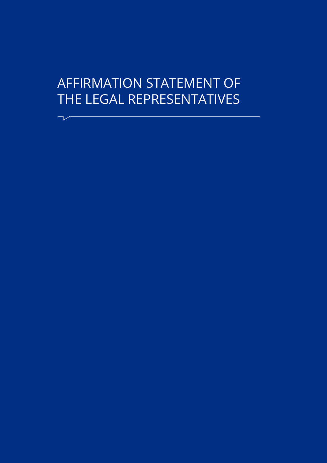# <span id="page-47-0"></span>AFFIRMATION STATEMENT OF THE LEGAL REPRESENTATIVES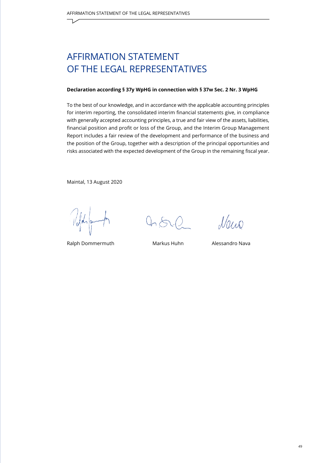## AFFIRMATION STATEMENT OF THE LEGAL REPRESENTATIVES

#### **Declaration according § 37y WpHG in connection with § 37w Sec. 2 Nr. 3 WpHG**

To the best of our knowledge, and in accordance with the applicable accounting principles for interim reporting, the consolidated interim financial statements give, in compliance with generally accepted accounting principles, a true and fair view of the assets, liabilities, financial position and profit or loss of the Group, and the Interim Group Management Report includes a fair review of the development and performance of the business and the position of the Group, together with a description of the principal opportunities and risks associated with the expected development of the Group in the remaining fiscal year.

Maintal, 13 August 2020

Ralph Dommermuth Markus Huhn Alessandro Nava

 $0.60$ 

 $\Lambda/\alpha$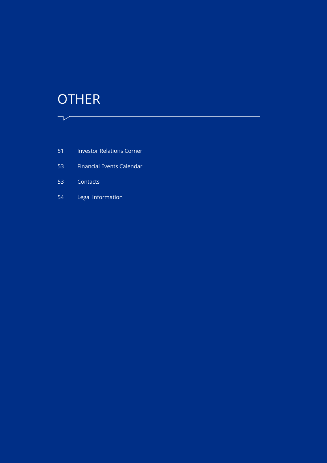# <span id="page-49-0"></span>**OTHER**

 $\sqrt{ \ \ }$ 

51 [Investor Relations Corner](#page-50-0)

 $\mathcal{L}(\mathcal{L})$  and  $\mathcal{L}(\mathcal{L})$  and  $\mathcal{L}(\mathcal{L})$ 

- 53 [Financial Events Calendar](#page-52-0)
- 53 [Contacts](#page-52-0)
- 54 [Legal Information](#page-53-0)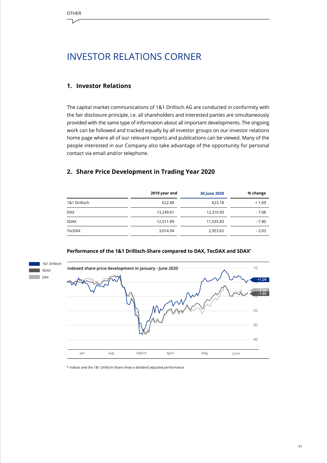<span id="page-50-0"></span>

## INVESTOR RELATIONS CORNER

#### **1. Investor Relations**

The capital market communications of 1&1 Drillisch AG are conducted in conformity with the fair disclosure principle, i.e. all shareholders and interested parties are simultaneously provided with the same type of information about all important developments. The ongoing work can be followed and tracked equally by all investor groups on our investor relations home page where all of our relevant reports and publications can be viewed. Many of the people interested in our Company also take advantage of the opportunity for personal contact via email and/or telephone.

#### **2. Share Price Development in Trading Year 2020**

|               | 2019 year end | 30 June 2020 | % change |
|---------------|---------------|--------------|----------|
| 1&1 Drillisch | €22.88        | €23.18       | $+1.09$  |
| <b>DAX</b>    | 13,249.01     | 12,310.93    | $-7.08$  |
| <b>SDAX</b>   | 12,511.89     | 11,535.83    | $-7.80$  |
| TecDAX        | 3,014.94      | 2,953.65     | $-2.03$  |



#### **Performance of the 1&1 Drillisch-Share compared to DAX, TecDAX and SDAX\***

\* Indices and the 1&1 Drillisch-Share show a dividend adjusted performance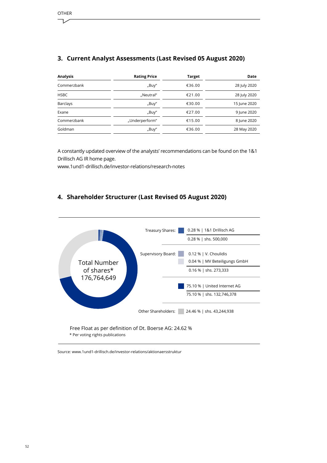#### **3. Current Analyst Assessments (Last Revised 05 August 2020)**

| <b>Analysis</b> | <b>Rating Price</b> | <b>Target</b> | Date         |
|-----------------|---------------------|---------------|--------------|
| Commerzbank     | "Buy"               | €36.00        | 28 July 2020 |
| <b>HSBC</b>     | "Neutral"           | €21.00        | 28 July 2020 |
| <b>Barclays</b> | "Buy"               | €30.00        | 15 June 2020 |
| Exane           | "Buy"               | €27.00        | 9 June 2020  |
| Commerzbank     | "Underperform"      | €15.00        | 8 June 2020  |
| Goldman         | "Buy"               | €36.00        | 28 May 2020  |

A constantly updated overview of the analysts' recommendations can be found on the 1&1 Drillisch AG IR home page.

www.1und1-drillisch.de/investor-relations/research-notes

#### **4. Shareholder Structurer (Last Revised 05 August 2020)**



Free Float as per definition of Dt. Boerse AG: 24.62 % \* Per voting rights publications

Source: www.1und1-drillisch.de/investor-relations/aktionaersstruktur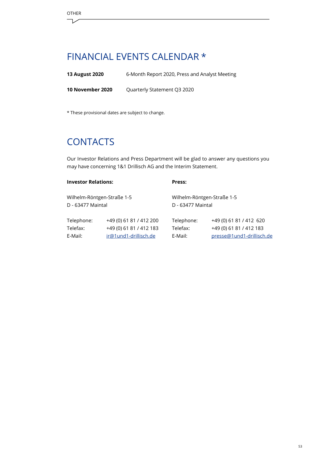## <span id="page-52-0"></span>FINANCIAL EVENTS CALENDAR \*

**13 August 2020** 6-Month Report 2020, Press and Analyst Meeting

**10 November 2020** Quarterly Statement Q3 2020

\* These provisional dates are subject to change.

# **CONTACTS**

Our Investor Relations and Press Department will be glad to answer any questions you may have concerning 1&1 Drillisch AG and the Interim Statement.

| <b>Investor Relations:</b><br>Wilhelm-Röntgen-Straße 1-5<br>D - 63477 Maintal |                         | Press:<br>Wilhelm-Röntgen-Straße 1-5<br>D - 63477 Maintal |                           |  |
|-------------------------------------------------------------------------------|-------------------------|-----------------------------------------------------------|---------------------------|--|
|                                                                               |                         |                                                           |                           |  |
| Telefax:                                                                      | +49 (0) 61 81 / 412 183 | Telefax:                                                  | +49 (0) 61 81 / 412 183   |  |
| E-Mail:                                                                       | ir@1und1-drillisch.de   | E-Mail:                                                   | presse@1und1-drillisch.de |  |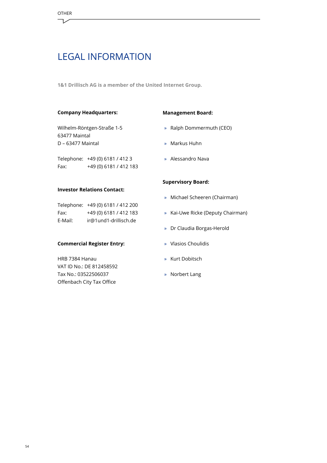## <span id="page-53-0"></span>LEGAL INFORMATION

**1&1 Drillisch AG is a member of the United Internet Group.**

#### **Company Headquarters:**

Wilhelm-Röntgen-Straße 1-5 63477 Maintal D – 63477 Maintal

Telephone: +49 (0) 6181 / 412 3 Fax: +49 (0) 6181 / 412 183

#### **Investor Relations Contact:**

|         | Telephone: +49 (0) 6181 / 412 200 |
|---------|-----------------------------------|
| Fax:    | +49 (0) 6181 / 412 183            |
| E-Mail: | ir@1und1-drillisch.de             |

#### **Commercial Register Entry:**

HRB 7384 Hanau VAT ID No.: DE 812458592 Tax No.: 03522506037 Offenbach City Tax Office

#### **Management Board:**

- » Ralph Dommermuth (CEO)
- » Markus Huhn
- » Alessandro Nava

#### **Supervisory Board:**

- » Michael Scheeren (Chairman)
- » Kai-Uwe Ricke (Deputy Chairman)
- » Dr Claudia Borgas-Herold
- » Vlasios Choulidis
- » Kurt Dobitsch
- » Norbert Lang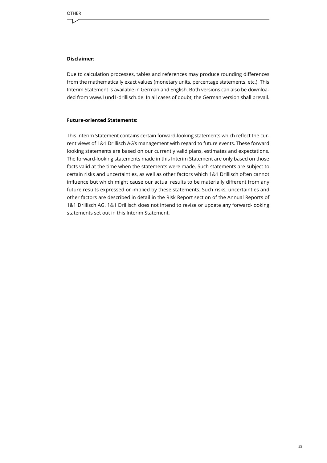#### **Disclaimer:**

Due to calculation processes, tables and references may produce rounding differences from the mathematically exact values (monetary units, percentage statements, etc.). This Interim Statement is available in German and English. Both versions can also be downloaded from www.1und1-drillisch.de. In all cases of doubt, the German version shall prevail.

#### **Future-oriented Statements:**

This Interim Statement contains certain forward-looking statements which reflect the current views of 1&1 Drillisch AG's management with regard to future events. These forward looking statements are based on our currently valid plans, estimates and expectations. The forward-looking statements made in this Interim Statement are only based on those facts valid at the time when the statements were made. Such statements are subject to certain risks and uncertainties, as well as other factors which 1&1 Drillisch often cannot influence but which might cause our actual results to be materially different from any future results expressed or implied by these statements. Such risks, uncertainties and other factors are described in detail in the Risk Report section of the Annual Reports of 1&1 Drillisch AG. 1&1 Drillisch does not intend to revise or update any forward-looking statements set out in this Interim Statement.